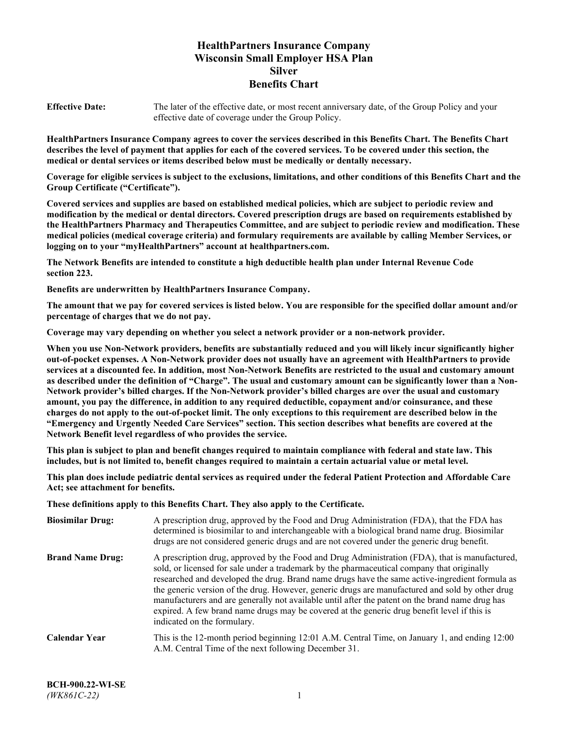# **HealthPartners Insurance Company Wisconsin Small Employer HSA Plan Silver Benefits Chart**

**Effective Date:** The later of the effective date, or most recent anniversary date, of the Group Policy and your effective date of coverage under the Group Policy.

**HealthPartners Insurance Company agrees to cover the services described in this Benefits Chart. The Benefits Chart describes the level of payment that applies for each of the covered services. To be covered under this section, the medical or dental services or items described below must be medically or dentally necessary.**

**Coverage for eligible services is subject to the exclusions, limitations, and other conditions of this Benefits Chart and the Group Certificate ("Certificate").**

**Covered services and supplies are based on established medical policies, which are subject to periodic review and modification by the medical or dental directors. Covered prescription drugs are based on requirements established by the HealthPartners Pharmacy and Therapeutics Committee, and are subject to periodic review and modification. These medical policies (medical coverage criteria) and formulary requirements are available by calling Member Services, or logging on to your "myHealthPartners" account at [healthpartners.com.](https://www.healthpartners.com/hp/index.html)**

**The Network Benefits are intended to constitute a high deductible health plan under Internal Revenue Code section 223.**

**Benefits are underwritten by HealthPartners Insurance Company.**

**The amount that we pay for covered services is listed below. You are responsible for the specified dollar amount and/or percentage of charges that we do not pay.**

**Coverage may vary depending on whether you select a network provider or a non-network provider.**

**When you use Non-Network providers, benefits are substantially reduced and you will likely incur significantly higher out-of-pocket expenses. A Non-Network provider does not usually have an agreement with HealthPartners to provide services at a discounted fee. In addition, most Non-Network Benefits are restricted to the usual and customary amount as described under the definition of "Charge". The usual and customary amount can be significantly lower than a Non-Network provider's billed charges. If the Non-Network provider's billed charges are over the usual and customary amount, you pay the difference, in addition to any required deductible, copayment and/or coinsurance, and these charges do not apply to the out-of-pocket limit. The only exceptions to this requirement are described below in the "Emergency and Urgently Needed Care Services" section. This section describes what benefits are covered at the Network Benefit level regardless of who provides the service.**

**This plan is subject to plan and benefit changes required to maintain compliance with federal and state law. This includes, but is not limited to, benefit changes required to maintain a certain actuarial value or metal level.**

**This plan does include pediatric dental services as required under the federal Patient Protection and Affordable Care Act; see attachment for benefits.**

**These definitions apply to this Benefits Chart. They also apply to the Certificate.**

| <b>Biosimilar Drug:</b> | A prescription drug, approved by the Food and Drug Administration (FDA), that the FDA has<br>determined is biosimilar to and interchangeable with a biological brand name drug. Biosimilar<br>drugs are not considered generic drugs and are not covered under the generic drug benefit.                                                                                                                                                                                                                                                                                                                                           |
|-------------------------|------------------------------------------------------------------------------------------------------------------------------------------------------------------------------------------------------------------------------------------------------------------------------------------------------------------------------------------------------------------------------------------------------------------------------------------------------------------------------------------------------------------------------------------------------------------------------------------------------------------------------------|
| <b>Brand Name Drug:</b> | A prescription drug, approved by the Food and Drug Administration (FDA), that is manufactured,<br>sold, or licensed for sale under a trademark by the pharmaceutical company that originally<br>researched and developed the drug. Brand name drugs have the same active-ingredient formula as<br>the generic version of the drug. However, generic drugs are manufactured and sold by other drug<br>manufacturers and are generally not available until after the patent on the brand name drug has<br>expired. A few brand name drugs may be covered at the generic drug benefit level if this is<br>indicated on the formulary. |
| <b>Calendar Year</b>    | This is the 12-month period beginning 12:01 A.M. Central Time, on January 1, and ending 12:00<br>A.M. Central Time of the next following December 31.                                                                                                                                                                                                                                                                                                                                                                                                                                                                              |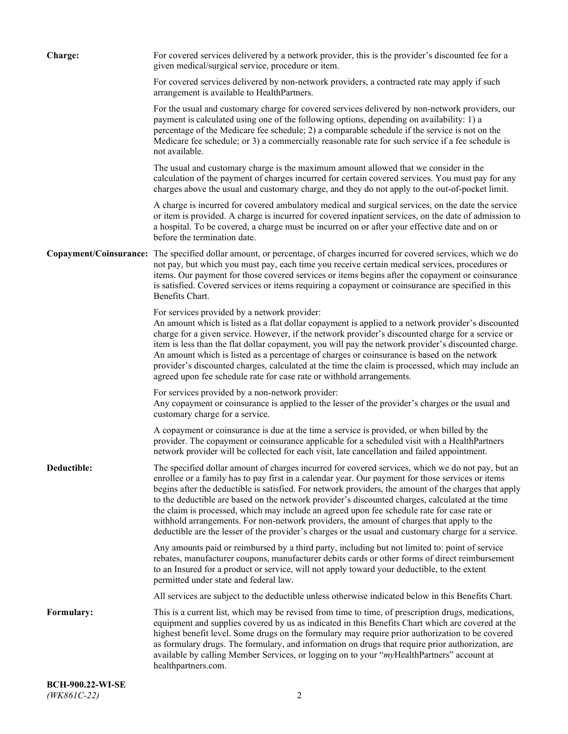| <b>Charge:</b> | For covered services delivered by a network provider, this is the provider's discounted fee for a<br>given medical/surgical service, procedure or item.                                                                                                                                                                                                                                                                                                                                                                                                                                                                                                                                                                 |
|----------------|-------------------------------------------------------------------------------------------------------------------------------------------------------------------------------------------------------------------------------------------------------------------------------------------------------------------------------------------------------------------------------------------------------------------------------------------------------------------------------------------------------------------------------------------------------------------------------------------------------------------------------------------------------------------------------------------------------------------------|
|                | For covered services delivered by non-network providers, a contracted rate may apply if such<br>arrangement is available to HealthPartners.                                                                                                                                                                                                                                                                                                                                                                                                                                                                                                                                                                             |
|                | For the usual and customary charge for covered services delivered by non-network providers, our<br>payment is calculated using one of the following options, depending on availability: 1) a<br>percentage of the Medicare fee schedule; 2) a comparable schedule if the service is not on the<br>Medicare fee schedule; or 3) a commercially reasonable rate for such service if a fee schedule is<br>not available.                                                                                                                                                                                                                                                                                                   |
|                | The usual and customary charge is the maximum amount allowed that we consider in the<br>calculation of the payment of charges incurred for certain covered services. You must pay for any<br>charges above the usual and customary charge, and they do not apply to the out-of-pocket limit.                                                                                                                                                                                                                                                                                                                                                                                                                            |
|                | A charge is incurred for covered ambulatory medical and surgical services, on the date the service<br>or item is provided. A charge is incurred for covered inpatient services, on the date of admission to<br>a hospital. To be covered, a charge must be incurred on or after your effective date and on or<br>before the termination date.                                                                                                                                                                                                                                                                                                                                                                           |
|                | Copayment/Coinsurance: The specified dollar amount, or percentage, of charges incurred for covered services, which we do<br>not pay, but which you must pay, each time you receive certain medical services, procedures or<br>items. Our payment for those covered services or items begins after the copayment or coinsurance<br>is satisfied. Covered services or items requiring a copayment or coinsurance are specified in this<br>Benefits Chart.                                                                                                                                                                                                                                                                 |
|                | For services provided by a network provider:<br>An amount which is listed as a flat dollar copayment is applied to a network provider's discounted<br>charge for a given service. However, if the network provider's discounted charge for a service or<br>item is less than the flat dollar copayment, you will pay the network provider's discounted charge.<br>An amount which is listed as a percentage of charges or coinsurance is based on the network<br>provider's discounted charges, calculated at the time the claim is processed, which may include an<br>agreed upon fee schedule rate for case rate or withhold arrangements.                                                                            |
|                | For services provided by a non-network provider:<br>Any copayment or coinsurance is applied to the lesser of the provider's charges or the usual and<br>customary charge for a service.                                                                                                                                                                                                                                                                                                                                                                                                                                                                                                                                 |
|                | A copayment or coinsurance is due at the time a service is provided, or when billed by the<br>provider. The copayment or coinsurance applicable for a scheduled visit with a HealthPartners<br>network provider will be collected for each visit, late cancellation and failed appointment.                                                                                                                                                                                                                                                                                                                                                                                                                             |
| Deductible:    | The specified dollar amount of charges incurred for covered services, which we do not pay, but an<br>enrollee or a family has to pay first in a calendar year. Our payment for those services or items<br>begins after the deductible is satisfied. For network providers, the amount of the charges that apply<br>to the deductible are based on the network provider's discounted charges, calculated at the time<br>the claim is processed, which may include an agreed upon fee schedule rate for case rate or<br>withhold arrangements. For non-network providers, the amount of charges that apply to the<br>deductible are the lesser of the provider's charges or the usual and customary charge for a service. |
|                | Any amounts paid or reimbursed by a third party, including but not limited to: point of service<br>rebates, manufacturer coupons, manufacturer debits cards or other forms of direct reimbursement<br>to an Insured for a product or service, will not apply toward your deductible, to the extent<br>permitted under state and federal law.                                                                                                                                                                                                                                                                                                                                                                            |
|                | All services are subject to the deductible unless otherwise indicated below in this Benefits Chart.                                                                                                                                                                                                                                                                                                                                                                                                                                                                                                                                                                                                                     |
| Formulary:     | This is a current list, which may be revised from time to time, of prescription drugs, medications,<br>equipment and supplies covered by us as indicated in this Benefits Chart which are covered at the<br>highest benefit level. Some drugs on the formulary may require prior authorization to be covered<br>as formulary drugs. The formulary, and information on drugs that require prior authorization, are<br>available by calling Member Services, or logging on to your "myHealthPartners" account at<br>healthpartners.com.                                                                                                                                                                                   |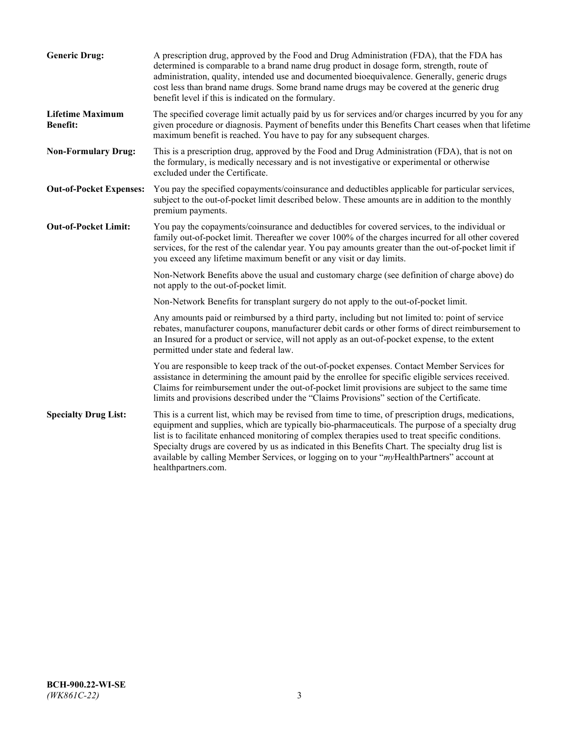| <b>Generic Drug:</b>                       | A prescription drug, approved by the Food and Drug Administration (FDA), that the FDA has<br>determined is comparable to a brand name drug product in dosage form, strength, route of<br>administration, quality, intended use and documented bioequivalence. Generally, generic drugs<br>cost less than brand name drugs. Some brand name drugs may be covered at the generic drug<br>benefit level if this is indicated on the formulary.                                                                                           |
|--------------------------------------------|---------------------------------------------------------------------------------------------------------------------------------------------------------------------------------------------------------------------------------------------------------------------------------------------------------------------------------------------------------------------------------------------------------------------------------------------------------------------------------------------------------------------------------------|
| <b>Lifetime Maximum</b><br><b>Benefit:</b> | The specified coverage limit actually paid by us for services and/or charges incurred by you for any<br>given procedure or diagnosis. Payment of benefits under this Benefits Chart ceases when that lifetime<br>maximum benefit is reached. You have to pay for any subsequent charges.                                                                                                                                                                                                                                              |
| <b>Non-Formulary Drug:</b>                 | This is a prescription drug, approved by the Food and Drug Administration (FDA), that is not on<br>the formulary, is medically necessary and is not investigative or experimental or otherwise<br>excluded under the Certificate.                                                                                                                                                                                                                                                                                                     |
| <b>Out-of-Pocket Expenses:</b>             | You pay the specified copayments/coinsurance and deductibles applicable for particular services,<br>subject to the out-of-pocket limit described below. These amounts are in addition to the monthly<br>premium payments.                                                                                                                                                                                                                                                                                                             |
| <b>Out-of-Pocket Limit:</b>                | You pay the copayments/coinsurance and deductibles for covered services, to the individual or<br>family out-of-pocket limit. Thereafter we cover 100% of the charges incurred for all other covered<br>services, for the rest of the calendar year. You pay amounts greater than the out-of-pocket limit if<br>you exceed any lifetime maximum benefit or any visit or day limits.                                                                                                                                                    |
|                                            | Non-Network Benefits above the usual and customary charge (see definition of charge above) do<br>not apply to the out-of-pocket limit.                                                                                                                                                                                                                                                                                                                                                                                                |
|                                            | Non-Network Benefits for transplant surgery do not apply to the out-of-pocket limit.                                                                                                                                                                                                                                                                                                                                                                                                                                                  |
|                                            | Any amounts paid or reimbursed by a third party, including but not limited to: point of service<br>rebates, manufacturer coupons, manufacturer debit cards or other forms of direct reimbursement to<br>an Insured for a product or service, will not apply as an out-of-pocket expense, to the extent<br>permitted under state and federal law.                                                                                                                                                                                      |
|                                            | You are responsible to keep track of the out-of-pocket expenses. Contact Member Services for<br>assistance in determining the amount paid by the enrollee for specific eligible services received.<br>Claims for reimbursement under the out-of-pocket limit provisions are subject to the same time<br>limits and provisions described under the "Claims Provisions" section of the Certificate.                                                                                                                                     |
| <b>Specialty Drug List:</b>                | This is a current list, which may be revised from time to time, of prescription drugs, medications,<br>equipment and supplies, which are typically bio-pharmaceuticals. The purpose of a specialty drug<br>list is to facilitate enhanced monitoring of complex therapies used to treat specific conditions.<br>Specialty drugs are covered by us as indicated in this Benefits Chart. The specialty drug list is<br>available by calling Member Services, or logging on to your "myHealthPartners" account at<br>healthpartners.com. |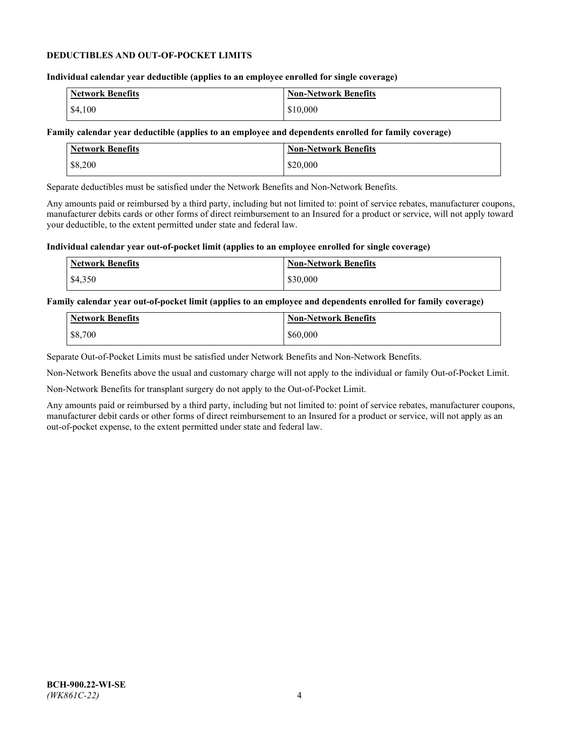## **DEDUCTIBLES AND OUT-OF-POCKET LIMITS**

## **Individual calendar year deductible (applies to an employee enrolled for single coverage)**

| Network Benefits  | <b>Non-Network Benefits</b> |
|-------------------|-----------------------------|
| $\frac{$4,100}{}$ | \$10,000                    |

## **Family calendar year deductible (applies to an employee and dependents enrolled for family coverage)**

| <b>Network Benefits</b> | <b>Non-Network Benefits</b> |
|-------------------------|-----------------------------|
| \$8,200                 | \$20,000                    |

Separate deductibles must be satisfied under the Network Benefits and Non-Network Benefits.

Any amounts paid or reimbursed by a third party, including but not limited to: point of service rebates, manufacturer coupons, manufacturer debits cards or other forms of direct reimbursement to an Insured for a product or service, will not apply toward your deductible, to the extent permitted under state and federal law.

## **Individual calendar year out-of-pocket limit (applies to an employee enrolled for single coverage)**

| <b>Network Benefits</b> | <b>Non-Network Benefits</b> |
|-------------------------|-----------------------------|
| \$4,350                 | \$30,000                    |

## **Family calendar year out-of-pocket limit (applies to an employee and dependents enrolled for family coverage)**

| <b>Network Benefits</b> | <b>Non-Network Benefits</b> |
|-------------------------|-----------------------------|
| \$8,700                 | \$60,000                    |

Separate Out-of-Pocket Limits must be satisfied under Network Benefits and Non-Network Benefits.

Non-Network Benefits above the usual and customary charge will not apply to the individual or family Out-of-Pocket Limit.

Non-Network Benefits for transplant surgery do not apply to the Out-of-Pocket Limit.

Any amounts paid or reimbursed by a third party, including but not limited to: point of service rebates, manufacturer coupons, manufacturer debit cards or other forms of direct reimbursement to an Insured for a product or service, will not apply as an out-of-pocket expense, to the extent permitted under state and federal law.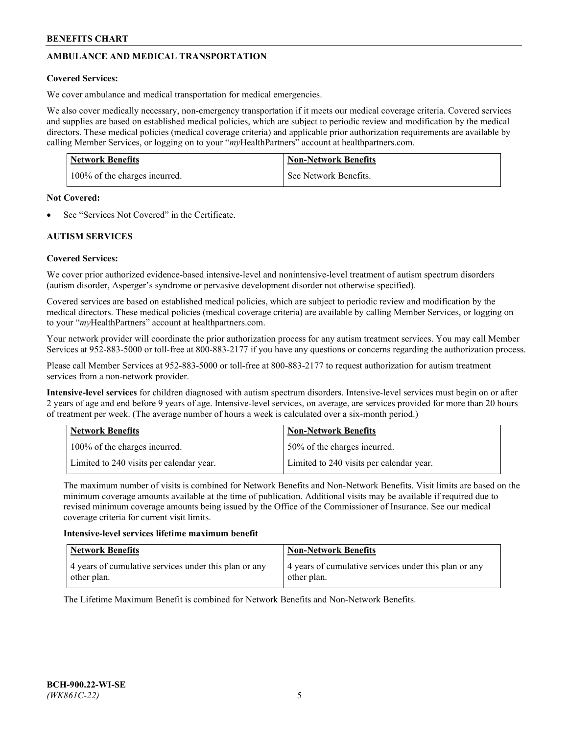# **AMBULANCE AND MEDICAL TRANSPORTATION**

# **Covered Services:**

We cover ambulance and medical transportation for medical emergencies.

We also cover medically necessary, non-emergency transportation if it meets our medical coverage criteria. Covered services and supplies are based on established medical policies, which are subject to periodic review and modification by the medical directors. These medical policies (medical coverage criteria) and applicable prior authorization requirements are available by calling Member Services, or logging on to your "*my*HealthPartners" account a[t healthpartners.com.](https://www.healthpartners.com/hp/index.html)

| <b>Network Benefits</b>       | <b>Non-Network Benefits</b> |
|-------------------------------|-----------------------------|
| 100% of the charges incurred. | See Network Benefits.       |

## **Not Covered:**

See "Services Not Covered" in the Certificate.

# **AUTISM SERVICES**

# **Covered Services:**

We cover prior authorized evidence-based intensive-level and nonintensive-level treatment of autism spectrum disorders (autism disorder, Asperger's syndrome or pervasive development disorder not otherwise specified).

Covered services are based on established medical policies, which are subject to periodic review and modification by the medical directors. These medical policies (medical coverage criteria) are available by calling Member Services, or logging on to your "*my*HealthPartners" account at [healthpartners.com.](https://www.healthpartners.com/hp/index.html)

Your network provider will coordinate the prior authorization process for any autism treatment services. You may call Member Services at 952-883-5000 or toll-free at 800-883-2177 if you have any questions or concerns regarding the authorization process.

Please call Member Services at 952-883-5000 or toll-free at 800-883-2177 to request authorization for autism treatment services from a non-network provider.

**Intensive-level services** for children diagnosed with autism spectrum disorders. Intensive-level services must begin on or after 2 years of age and end before 9 years of age. Intensive-level services, on average, are services provided for more than 20 hours of treatment per week. (The average number of hours a week is calculated over a six-month period.)

| Network Benefits                         | <b>Non-Network Benefits</b>              |
|------------------------------------------|------------------------------------------|
| 100% of the charges incurred.            | 50% of the charges incurred.             |
| Limited to 240 visits per calendar year. | Limited to 240 visits per calendar year. |

The maximum number of visits is combined for Network Benefits and Non-Network Benefits. Visit limits are based on the minimum coverage amounts available at the time of publication. Additional visits may be available if required due to revised minimum coverage amounts being issued by the Office of the Commissioner of Insurance. See our medical coverage criteria for current visit limits.

## **Intensive-level services lifetime maximum benefit**

| Network Benefits                                                     | <b>Non-Network Benefits</b>                                          |
|----------------------------------------------------------------------|----------------------------------------------------------------------|
| 4 years of cumulative services under this plan or any<br>other plan. | 4 years of cumulative services under this plan or any<br>other plan. |

The Lifetime Maximum Benefit is combined for Network Benefits and Non-Network Benefits.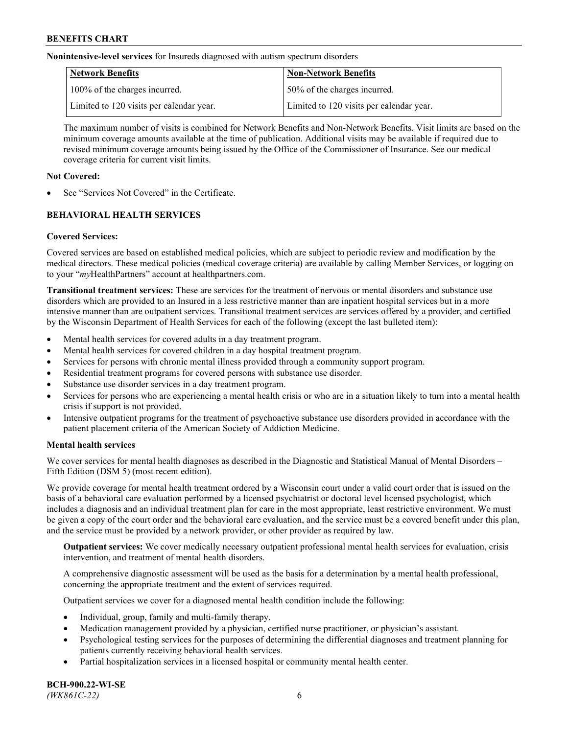**Nonintensive-level services** for Insureds diagnosed with autism spectrum disorders

| Network Benefits                         | <b>Non-Network Benefits</b>              |
|------------------------------------------|------------------------------------------|
| 100% of the charges incurred.            | 50% of the charges incurred.             |
| Limited to 120 visits per calendar year. | Limited to 120 visits per calendar year. |

The maximum number of visits is combined for Network Benefits and Non-Network Benefits. Visit limits are based on the minimum coverage amounts available at the time of publication. Additional visits may be available if required due to revised minimum coverage amounts being issued by the Office of the Commissioner of Insurance. See our medical coverage criteria for current visit limits.

## **Not Covered:**

See "Services Not Covered" in the Certificate.

# **BEHAVIORAL HEALTH SERVICES**

## **Covered Services:**

Covered services are based on established medical policies, which are subject to periodic review and modification by the medical directors. These medical policies (medical coverage criteria) are available by calling Member Services, or logging on to your "*my*HealthPartners" account at [healthpartners.com.](https://www.healthpartners.com/hp/index.html)

**Transitional treatment services:** These are services for the treatment of nervous or mental disorders and substance use disorders which are provided to an Insured in a less restrictive manner than are inpatient hospital services but in a more intensive manner than are outpatient services. Transitional treatment services are services offered by a provider, and certified by the Wisconsin Department of Health Services for each of the following (except the last bulleted item):

- Mental health services for covered adults in a day treatment program.
- Mental health services for covered children in a day hospital treatment program.
- Services for persons with chronic mental illness provided through a community support program.
- Residential treatment programs for covered persons with substance use disorder.
- Substance use disorder services in a day treatment program.
- Services for persons who are experiencing a mental health crisis or who are in a situation likely to turn into a mental health crisis if support is not provided.
- Intensive outpatient programs for the treatment of psychoactive substance use disorders provided in accordance with the patient placement criteria of the American Society of Addiction Medicine.

## **Mental health services**

We cover services for mental health diagnoses as described in the Diagnostic and Statistical Manual of Mental Disorders – Fifth Edition (DSM 5) (most recent edition).

We provide coverage for mental health treatment ordered by a Wisconsin court under a valid court order that is issued on the basis of a behavioral care evaluation performed by a licensed psychiatrist or doctoral level licensed psychologist, which includes a diagnosis and an individual treatment plan for care in the most appropriate, least restrictive environment. We must be given a copy of the court order and the behavioral care evaluation, and the service must be a covered benefit under this plan, and the service must be provided by a network provider, or other provider as required by law.

**Outpatient services:** We cover medically necessary outpatient professional mental health services for evaluation, crisis intervention, and treatment of mental health disorders.

A comprehensive diagnostic assessment will be used as the basis for a determination by a mental health professional, concerning the appropriate treatment and the extent of services required.

Outpatient services we cover for a diagnosed mental health condition include the following:

- Individual, group, family and multi-family therapy.
- Medication management provided by a physician, certified nurse practitioner, or physician's assistant.
- Psychological testing services for the purposes of determining the differential diagnoses and treatment planning for patients currently receiving behavioral health services.
- Partial hospitalization services in a licensed hospital or community mental health center.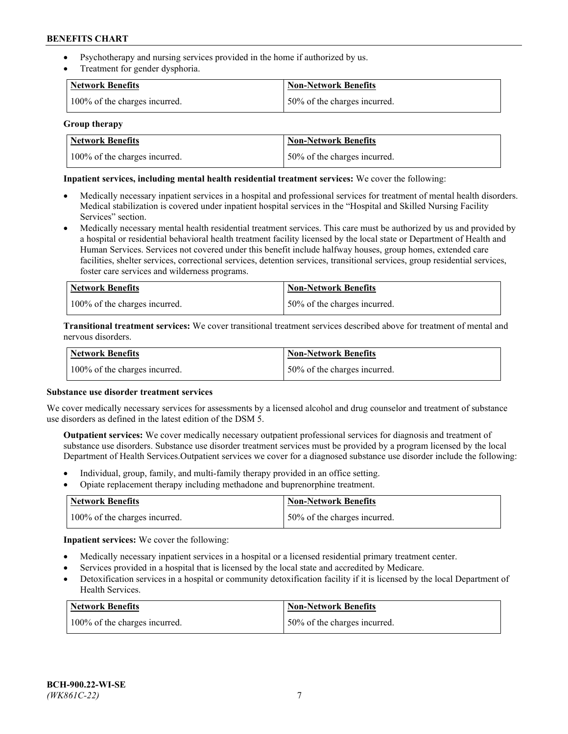- Psychotherapy and nursing services provided in the home if authorized by us.
- Treatment for gender dysphoria.

| <b>Network Benefits</b>       | <b>Non-Network Benefits</b>  |
|-------------------------------|------------------------------|
| 100% of the charges incurred. | 50% of the charges incurred. |

## **Group therapy**

| Network Benefits              | Non-Network Benefits          |
|-------------------------------|-------------------------------|
| 100% of the charges incurred. | 150% of the charges incurred. |

## **Inpatient services, including mental health residential treatment services:** We cover the following:

- Medically necessary inpatient services in a hospital and professional services for treatment of mental health disorders. Medical stabilization is covered under inpatient hospital services in the "Hospital and Skilled Nursing Facility Services" section.
- Medically necessary mental health residential treatment services. This care must be authorized by us and provided by a hospital or residential behavioral health treatment facility licensed by the local state or Department of Health and Human Services. Services not covered under this benefit include halfway houses, group homes, extended care facilities, shelter services, correctional services, detention services, transitional services, group residential services, foster care services and wilderness programs.

| <b>Network Benefits</b>       | Non-Network Benefits         |
|-------------------------------|------------------------------|
| 100% of the charges incurred. | 50% of the charges incurred. |

**Transitional treatment services:** We cover transitional treatment services described above for treatment of mental and nervous disorders.

| <b>Network Benefits</b>       | <b>Non-Network Benefits</b>  |
|-------------------------------|------------------------------|
| 100% of the charges incurred. | 50% of the charges incurred. |

## **Substance use disorder treatment services**

We cover medically necessary services for assessments by a licensed alcohol and drug counselor and treatment of substance use disorders as defined in the latest edition of the DSM 5.

**Outpatient services:** We cover medically necessary outpatient professional services for diagnosis and treatment of substance use disorders. Substance use disorder treatment services must be provided by a program licensed by the local Department of Health Services.Outpatient services we cover for a diagnosed substance use disorder include the following:

- Individual, group, family, and multi-family therapy provided in an office setting.
- Opiate replacement therapy including methadone and buprenorphine treatment.

| Network Benefits              | Non-Network Benefits         |
|-------------------------------|------------------------------|
| 100% of the charges incurred. | 50% of the charges incurred. |

**Inpatient services:** We cover the following:

- Medically necessary inpatient services in a hospital or a licensed residential primary treatment center.
- Services provided in a hospital that is licensed by the local state and accredited by Medicare.
- Detoxification services in a hospital or community detoxification facility if it is licensed by the local Department of Health Services.

| Network Benefits              | Non-Network Benefits         |
|-------------------------------|------------------------------|
| 100% of the charges incurred. | 50% of the charges incurred. |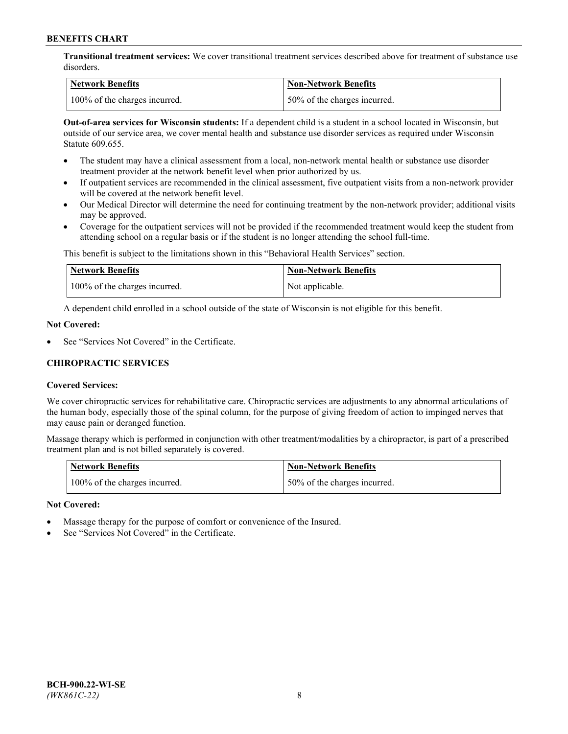**Transitional treatment services:** We cover transitional treatment services described above for treatment of substance use disorders.

| Network Benefits              | <b>Non-Network Benefits</b>   |
|-------------------------------|-------------------------------|
| 100% of the charges incurred. | 150% of the charges incurred. |

**Out-of-area services for Wisconsin students:** If a dependent child is a student in a school located in Wisconsin, but outside of our service area, we cover mental health and substance use disorder services as required under Wisconsin Statute 609.655.

- The student may have a clinical assessment from a local, non-network mental health or substance use disorder treatment provider at the network benefit level when prior authorized by us.
- If outpatient services are recommended in the clinical assessment, five outpatient visits from a non-network provider will be covered at the network benefit level.
- Our Medical Director will determine the need for continuing treatment by the non-network provider; additional visits may be approved.
- Coverage for the outpatient services will not be provided if the recommended treatment would keep the student from attending school on a regular basis or if the student is no longer attending the school full-time.

This benefit is subject to the limitations shown in this "Behavioral Health Services" section.

| Network Benefits              | <b>Non-Network Benefits</b> |
|-------------------------------|-----------------------------|
| 100% of the charges incurred. | Not applicable.             |

A dependent child enrolled in a school outside of the state of Wisconsin is not eligible for this benefit.

## **Not Covered:**

See "Services Not Covered" in the Certificate.

## **CHIROPRACTIC SERVICES**

## **Covered Services:**

We cover chiropractic services for rehabilitative care. Chiropractic services are adjustments to any abnormal articulations of the human body, especially those of the spinal column, for the purpose of giving freedom of action to impinged nerves that may cause pain or deranged function.

Massage therapy which is performed in conjunction with other treatment/modalities by a chiropractor, is part of a prescribed treatment plan and is not billed separately is covered.

| <b>Network Benefits</b>       | <b>Non-Network Benefits</b>  |
|-------------------------------|------------------------------|
| 100% of the charges incurred. | 50% of the charges incurred. |

#### **Not Covered:**

- Massage therapy for the purpose of comfort or convenience of the Insured.
- See "Services Not Covered" in the Certificate.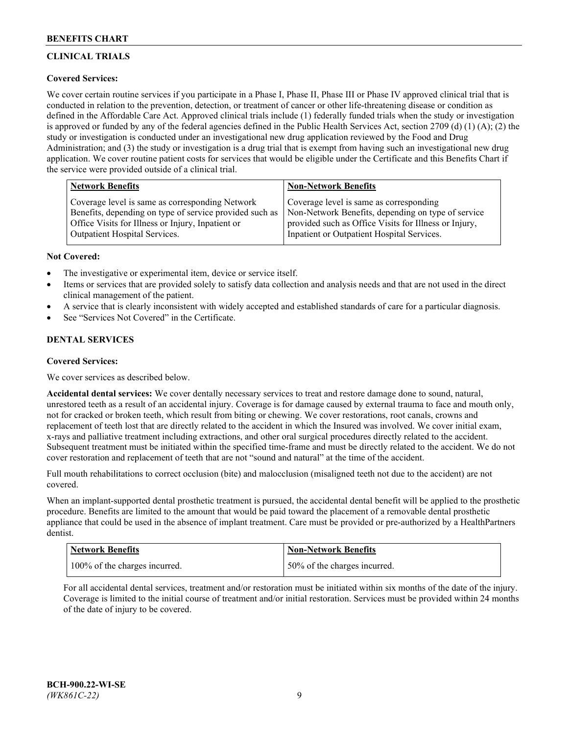# **CLINICAL TRIALS**

## **Covered Services:**

We cover certain routine services if you participate in a Phase I, Phase II, Phase III or Phase IV approved clinical trial that is conducted in relation to the prevention, detection, or treatment of cancer or other life-threatening disease or condition as defined in the Affordable Care Act. Approved clinical trials include (1) federally funded trials when the study or investigation is approved or funded by any of the federal agencies defined in the Public Health Services Act, section 2709 (d) (1) (A); (2) the study or investigation is conducted under an investigational new drug application reviewed by the Food and Drug Administration; and (3) the study or investigation is a drug trial that is exempt from having such an investigational new drug application. We cover routine patient costs for services that would be eligible under the Certificate and this Benefits Chart if the service were provided outside of a clinical trial.

| <b>Network Benefits</b>                                 | <b>Non-Network Benefits</b>                           |
|---------------------------------------------------------|-------------------------------------------------------|
| Coverage level is same as corresponding Network         | Coverage level is same as corresponding               |
| Benefits, depending on type of service provided such as | Non-Network Benefits, depending on type of service    |
| Office Visits for Illness or Injury, Inpatient or       | provided such as Office Visits for Illness or Injury, |
| Outpatient Hospital Services.                           | Inpatient or Outpatient Hospital Services.            |

## **Not Covered:**

- The investigative or experimental item, device or service itself.
- Items or services that are provided solely to satisfy data collection and analysis needs and that are not used in the direct clinical management of the patient.
- A service that is clearly inconsistent with widely accepted and established standards of care for a particular diagnosis.
- See "Services Not Covered" in the Certificate.

# **DENTAL SERVICES**

## **Covered Services:**

We cover services as described below.

**Accidental dental services:** We cover dentally necessary services to treat and restore damage done to sound, natural, unrestored teeth as a result of an accidental injury. Coverage is for damage caused by external trauma to face and mouth only, not for cracked or broken teeth, which result from biting or chewing. We cover restorations, root canals, crowns and replacement of teeth lost that are directly related to the accident in which the Insured was involved. We cover initial exam, x-rays and palliative treatment including extractions, and other oral surgical procedures directly related to the accident. Subsequent treatment must be initiated within the specified time-frame and must be directly related to the accident. We do not cover restoration and replacement of teeth that are not "sound and natural" at the time of the accident.

Full mouth rehabilitations to correct occlusion (bite) and malocclusion (misaligned teeth not due to the accident) are not covered.

When an implant-supported dental prosthetic treatment is pursued, the accidental dental benefit will be applied to the prosthetic procedure. Benefits are limited to the amount that would be paid toward the placement of a removable dental prosthetic appliance that could be used in the absence of implant treatment. Care must be provided or pre-authorized by a HealthPartners dentist.

| <b>Network Benefits</b>       | <b>Non-Network Benefits</b>  |
|-------------------------------|------------------------------|
| 100% of the charges incurred. | 50% of the charges incurred. |

For all accidental dental services, treatment and/or restoration must be initiated within six months of the date of the injury. Coverage is limited to the initial course of treatment and/or initial restoration. Services must be provided within 24 months of the date of injury to be covered.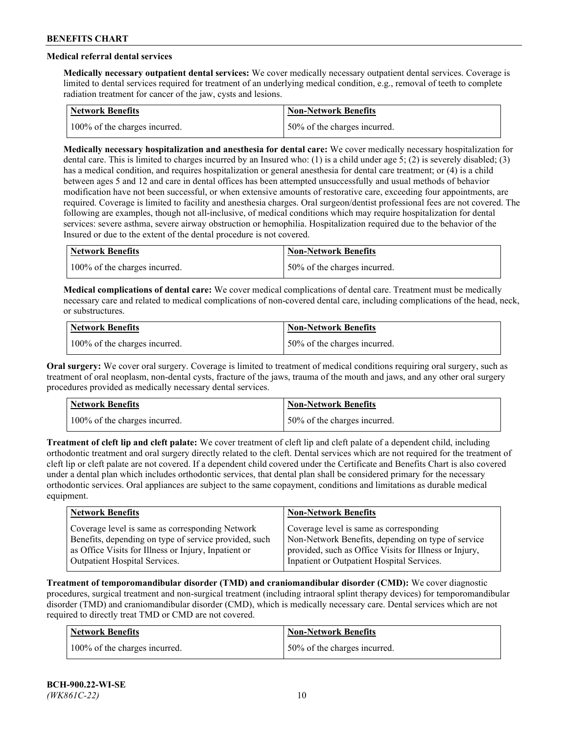# **Medical referral dental services**

**Medically necessary outpatient dental services:** We cover medically necessary outpatient dental services. Coverage is limited to dental services required for treatment of an underlying medical condition, e.g., removal of teeth to complete radiation treatment for cancer of the jaw, cysts and lesions.

| Network Benefits              | Non-Network Benefits         |
|-------------------------------|------------------------------|
| 100% of the charges incurred. | 50% of the charges incurred. |

**Medically necessary hospitalization and anesthesia for dental care:** We cover medically necessary hospitalization for dental care. This is limited to charges incurred by an Insured who: (1) is a child under age 5; (2) is severely disabled; (3) has a medical condition, and requires hospitalization or general anesthesia for dental care treatment; or (4) is a child between ages 5 and 12 and care in dental offices has been attempted unsuccessfully and usual methods of behavior modification have not been successful, or when extensive amounts of restorative care, exceeding four appointments, are required. Coverage is limited to facility and anesthesia charges. Oral surgeon/dentist professional fees are not covered. The following are examples, though not all-inclusive, of medical conditions which may require hospitalization for dental services: severe asthma, severe airway obstruction or hemophilia. Hospitalization required due to the behavior of the Insured or due to the extent of the dental procedure is not covered.

| Network Benefits              | <b>Non-Network Benefits</b>  |
|-------------------------------|------------------------------|
| 100% of the charges incurred. | 50% of the charges incurred. |

**Medical complications of dental care:** We cover medical complications of dental care. Treatment must be medically necessary care and related to medical complications of non-covered dental care, including complications of the head, neck, or substructures.

| Network Benefits              | Non-Network Benefits         |
|-------------------------------|------------------------------|
| 100% of the charges incurred. | 50% of the charges incurred. |

**Oral surgery:** We cover oral surgery. Coverage is limited to treatment of medical conditions requiring oral surgery, such as treatment of oral neoplasm, non-dental cysts, fracture of the jaws, trauma of the mouth and jaws, and any other oral surgery procedures provided as medically necessary dental services.

| <b>Network Benefits</b>       | <b>Non-Network Benefits</b>   |
|-------------------------------|-------------------------------|
| 100% of the charges incurred. | 150% of the charges incurred. |

**Treatment of cleft lip and cleft palate:** We cover treatment of cleft lip and cleft palate of a dependent child, including orthodontic treatment and oral surgery directly related to the cleft. Dental services which are not required for the treatment of cleft lip or cleft palate are not covered. If a dependent child covered under the Certificate and Benefits Chart is also covered under a dental plan which includes orthodontic services, that dental plan shall be considered primary for the necessary orthodontic services. Oral appliances are subject to the same copayment, conditions and limitations as durable medical equipment.

| <b>Network Benefits</b>                               | <b>Non-Network Benefits</b>                            |
|-------------------------------------------------------|--------------------------------------------------------|
| Coverage level is same as corresponding Network       | Coverage level is same as corresponding                |
| Benefits, depending on type of service provided, such | Non-Network Benefits, depending on type of service     |
| as Office Visits for Illness or Injury, Inpatient or  | provided, such as Office Visits for Illness or Injury, |
| Outpatient Hospital Services.                         | Inpatient or Outpatient Hospital Services.             |

**Treatment of temporomandibular disorder (TMD) and craniomandibular disorder (CMD):** We cover diagnostic procedures, surgical treatment and non-surgical treatment (including intraoral splint therapy devices) for temporomandibular disorder (TMD) and craniomandibular disorder (CMD), which is medically necessary care. Dental services which are not required to directly treat TMD or CMD are not covered.

| <b>Network Benefits</b>       | <b>Non-Network Benefits</b>   |
|-------------------------------|-------------------------------|
| 100% of the charges incurred. | 150% of the charges incurred. |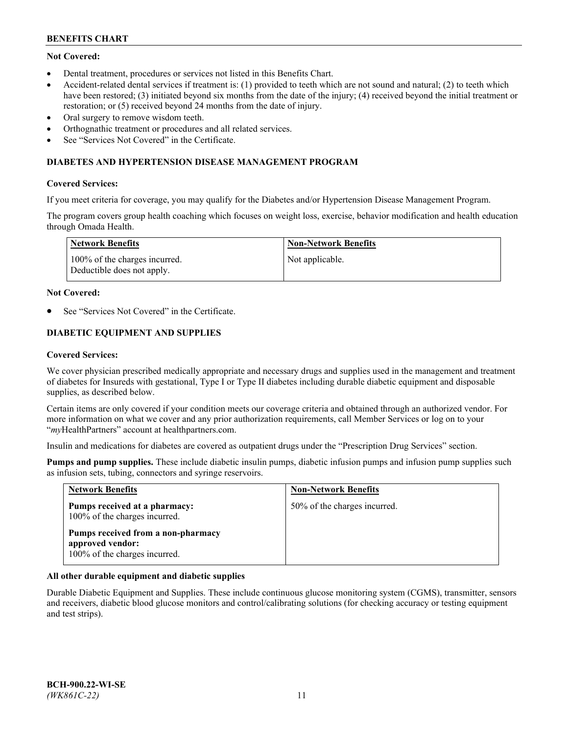# **Not Covered:**

- Dental treatment, procedures or services not listed in this Benefits Chart.
- Accident-related dental services if treatment is: (1) provided to teeth which are not sound and natural; (2) to teeth which have been restored; (3) initiated beyond six months from the date of the injury; (4) received beyond the initial treatment or restoration; or (5) received beyond 24 months from the date of injury.
- Oral surgery to remove wisdom teeth.
- Orthognathic treatment or procedures and all related services.
- See "Services Not Covered" in the Certificate.

## **DIABETES AND HYPERTENSION DISEASE MANAGEMENT PROGRAM**

## **Covered Services:**

If you meet criteria for coverage, you may qualify for the Diabetes and/or Hypertension Disease Management Program.

The program covers group health coaching which focuses on weight loss, exercise, behavior modification and health education through Omada Health.

| Network Benefits                                            | <b>Non-Network Benefits</b> |
|-------------------------------------------------------------|-----------------------------|
| 100% of the charges incurred.<br>Deductible does not apply. | Not applicable.             |

## **Not Covered:**

See "Services Not Covered" in the Certificate.

# **DIABETIC EQUIPMENT AND SUPPLIES**

## **Covered Services:**

We cover physician prescribed medically appropriate and necessary drugs and supplies used in the management and treatment of diabetes for Insureds with gestational, Type I or Type II diabetes including durable diabetic equipment and disposable supplies, as described below.

Certain items are only covered if your condition meets our coverage criteria and obtained through an authorized vendor. For more information on what we cover and any prior authorization requirements, call Member Services or log on to your "*my*HealthPartners" account at [healthpartners.com.](http://www.healthpartners.com/)

Insulin and medications for diabetes are covered as outpatient drugs under the "Prescription Drug Services" section.

**Pumps and pump supplies.** These include diabetic insulin pumps, diabetic infusion pumps and infusion pump supplies such as infusion sets, tubing, connectors and syringe reservoirs.

| <b>Network Benefits</b>                                                                 | <b>Non-Network Benefits</b>  |
|-----------------------------------------------------------------------------------------|------------------------------|
| Pumps received at a pharmacy:<br>100% of the charges incurred.                          | 50% of the charges incurred. |
| Pumps received from a non-pharmacy<br>approved vendor:<br>100% of the charges incurred. |                              |

## **All other durable equipment and diabetic supplies**

Durable Diabetic Equipment and Supplies. These include continuous glucose monitoring system (CGMS), transmitter, sensors and receivers, diabetic blood glucose monitors and control/calibrating solutions (for checking accuracy or testing equipment and test strips).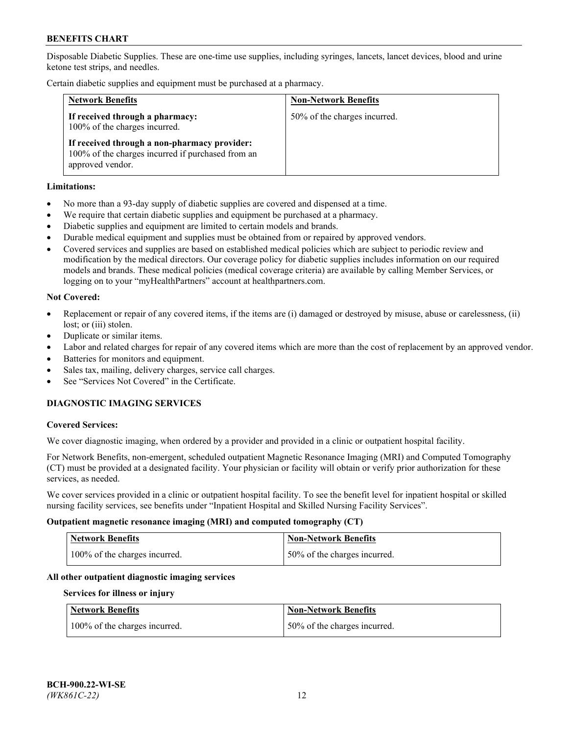Disposable Diabetic Supplies. These are one-time use supplies, including syringes, lancets, lancet devices, blood and urine ketone test strips, and needles.

Certain diabetic supplies and equipment must be purchased at a pharmacy.

| <b>Network Benefits</b>                                                                                               | <b>Non-Network Benefits</b>  |
|-----------------------------------------------------------------------------------------------------------------------|------------------------------|
| If received through a pharmacy:<br>100% of the charges incurred.                                                      | 50% of the charges incurred. |
| If received through a non-pharmacy provider:<br>100% of the charges incurred if purchased from an<br>approved vendor. |                              |

## **Limitations:**

- No more than a 93-day supply of diabetic supplies are covered and dispensed at a time.
- We require that certain diabetic supplies and equipment be purchased at a pharmacy.
- Diabetic supplies and equipment are limited to certain models and brands.
- Durable medical equipment and supplies must be obtained from or repaired by approved vendors.
- Covered services and supplies are based on established medical policies which are subject to periodic review and modification by the medical directors. Our coverage policy for diabetic supplies includes information on our required models and brands. These medical policies (medical coverage criteria) are available by calling Member Services, or logging on to your "myHealthPartners" account at [healthpartners.com.](http://www.healthpartners.com/)

## **Not Covered:**

- Replacement or repair of any covered items, if the items are (i) damaged or destroyed by misuse, abuse or carelessness, (ii) lost; or (iii) stolen.
- Duplicate or similar items.
- Labor and related charges for repair of any covered items which are more than the cost of replacement by an approved vendor.
- Batteries for monitors and equipment.
- Sales tax, mailing, delivery charges, service call charges.
- See "Services Not Covered" in the Certificate.

# **DIAGNOSTIC IMAGING SERVICES**

#### **Covered Services:**

We cover diagnostic imaging, when ordered by a provider and provided in a clinic or outpatient hospital facility.

For Network Benefits, non-emergent, scheduled outpatient Magnetic Resonance Imaging (MRI) and Computed Tomography (CT) must be provided at a designated facility. Your physician or facility will obtain or verify prior authorization for these services, as needed.

We cover services provided in a clinic or outpatient hospital facility. To see the benefit level for inpatient hospital or skilled nursing facility services, see benefits under "Inpatient Hospital and Skilled Nursing Facility Services".

#### **Outpatient magnetic resonance imaging (MRI) and computed tomography (CT)**

| <b>Network Benefits</b>       | <b>Non-Network Benefits</b>  |
|-------------------------------|------------------------------|
| 100% of the charges incurred. | 50% of the charges incurred. |

#### **All other outpatient diagnostic imaging services**

#### **Services for illness or injury**

| <b>Network Benefits</b>       | <b>Non-Network Benefits</b>  |
|-------------------------------|------------------------------|
| 100% of the charges incurred. | 50% of the charges incurred. |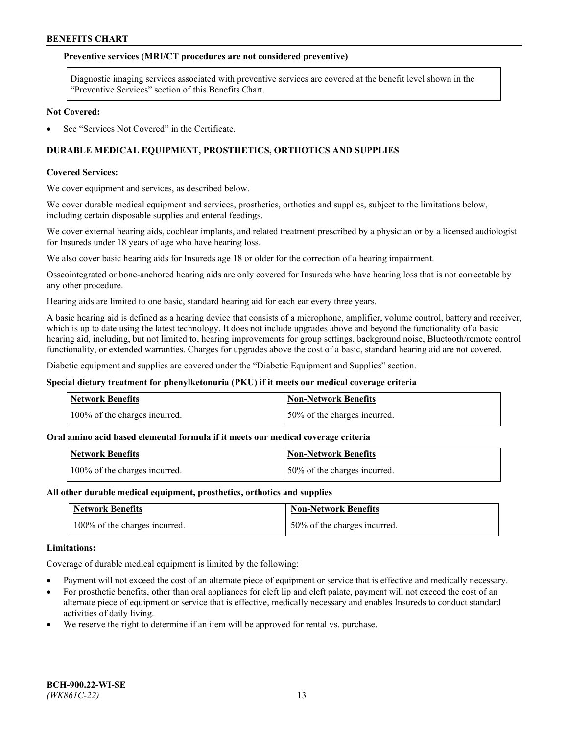## **Preventive services (MRI/CT procedures are not considered preventive)**

Diagnostic imaging services associated with preventive services are covered at the benefit level shown in the "Preventive Services" section of this Benefits Chart.

#### **Not Covered:**

See "Services Not Covered" in the Certificate.

# **DURABLE MEDICAL EQUIPMENT, PROSTHETICS, ORTHOTICS AND SUPPLIES**

#### **Covered Services:**

We cover equipment and services, as described below.

We cover durable medical equipment and services, prosthetics, orthotics and supplies, subject to the limitations below, including certain disposable supplies and enteral feedings.

We cover external hearing aids, cochlear implants, and related treatment prescribed by a physician or by a licensed audiologist for Insureds under 18 years of age who have hearing loss.

We also cover basic hearing aids for Insureds age 18 or older for the correction of a hearing impairment.

Osseointegrated or bone-anchored hearing aids are only covered for Insureds who have hearing loss that is not correctable by any other procedure.

Hearing aids are limited to one basic, standard hearing aid for each ear every three years.

A basic hearing aid is defined as a hearing device that consists of a microphone, amplifier, volume control, battery and receiver, which is up to date using the latest technology. It does not include upgrades above and beyond the functionality of a basic hearing aid, including, but not limited to, hearing improvements for group settings, background noise, Bluetooth/remote control functionality, or extended warranties. Charges for upgrades above the cost of a basic, standard hearing aid are not covered.

Diabetic equipment and supplies are covered under the "Diabetic Equipment and Supplies" section.

#### **Special dietary treatment for phenylketonuria (PKU) if it meets our medical coverage criteria**

| <b>Network Benefits</b>       | <b>Non-Network Benefits</b>  |
|-------------------------------|------------------------------|
| 100% of the charges incurred. | 50% of the charges incurred. |

#### **Oral amino acid based elemental formula if it meets our medical coverage criteria**

| <b>Network Benefits</b>       | Non-Network Benefits         |
|-------------------------------|------------------------------|
| 100% of the charges incurred. | 50% of the charges incurred. |

#### **All other durable medical equipment, prosthetics, orthotics and supplies**

| <b>Network Benefits</b>       | <b>Non-Network Benefits</b>  |
|-------------------------------|------------------------------|
| 100% of the charges incurred. | 50% of the charges incurred. |

#### **Limitations:**

Coverage of durable medical equipment is limited by the following:

- Payment will not exceed the cost of an alternate piece of equipment or service that is effective and medically necessary.
- For prosthetic benefits, other than oral appliances for cleft lip and cleft palate, payment will not exceed the cost of an alternate piece of equipment or service that is effective, medically necessary and enables Insureds to conduct standard activities of daily living.
- We reserve the right to determine if an item will be approved for rental vs. purchase.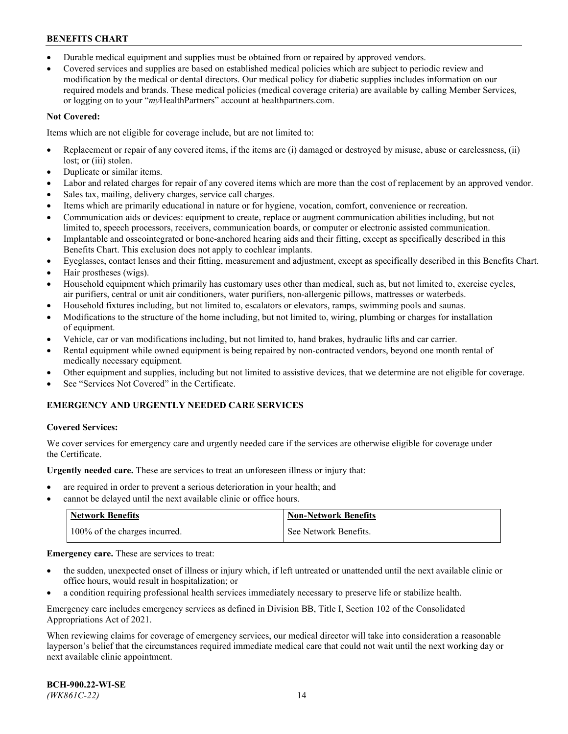- Durable medical equipment and supplies must be obtained from or repaired by approved vendors.
- Covered services and supplies are based on established medical policies which are subject to periodic review and modification by the medical or dental directors. Our medical policy for diabetic supplies includes information on our required models and brands. These medical policies (medical coverage criteria) are available by calling Member Services, or logging on to your "*my*HealthPartners" account a[t healthpartners.com.](http://www.healthpartners.com/)

# **Not Covered:**

Items which are not eligible for coverage include, but are not limited to:

- Replacement or repair of any covered items, if the items are (i) damaged or destroyed by misuse, abuse or carelessness, (ii) lost; or (iii) stolen.
- Duplicate or similar items.
- Labor and related charges for repair of any covered items which are more than the cost of replacement by an approved vendor.
- Sales tax, mailing, delivery charges, service call charges.
- Items which are primarily educational in nature or for hygiene, vocation, comfort, convenience or recreation.
- Communication aids or devices: equipment to create, replace or augment communication abilities including, but not limited to, speech processors, receivers, communication boards, or computer or electronic assisted communication.
- Implantable and osseointegrated or bone-anchored hearing aids and their fitting, except as specifically described in this Benefits Chart. This exclusion does not apply to cochlear implants.
- Eyeglasses, contact lenses and their fitting, measurement and adjustment, except as specifically described in this Benefits Chart.
- Hair prostheses (wigs).
- Household equipment which primarily has customary uses other than medical, such as, but not limited to, exercise cycles, air purifiers, central or unit air conditioners, water purifiers, non-allergenic pillows, mattresses or waterbeds.
- Household fixtures including, but not limited to, escalators or elevators, ramps, swimming pools and saunas.
- Modifications to the structure of the home including, but not limited to, wiring, plumbing or charges for installation of equipment.
- Vehicle, car or van modifications including, but not limited to, hand brakes, hydraulic lifts and car carrier.
- Rental equipment while owned equipment is being repaired by non-contracted vendors, beyond one month rental of medically necessary equipment.
- Other equipment and supplies, including but not limited to assistive devices, that we determine are not eligible for coverage.
- See "Services Not Covered" in the Certificate.

# **EMERGENCY AND URGENTLY NEEDED CARE SERVICES**

## **Covered Services:**

We cover services for emergency care and urgently needed care if the services are otherwise eligible for coverage under the Certificate.

**Urgently needed care.** These are services to treat an unforeseen illness or injury that:

- are required in order to prevent a serious deterioration in your health; and
- cannot be delayed until the next available clinic or office hours.

| <b>Network Benefits</b>       | <b>Non-Network Benefits</b> |
|-------------------------------|-----------------------------|
| 100% of the charges incurred. | See Network Benefits.       |

**Emergency care.** These are services to treat:

- the sudden, unexpected onset of illness or injury which, if left untreated or unattended until the next available clinic or office hours, would result in hospitalization; or
- a condition requiring professional health services immediately necessary to preserve life or stabilize health.

Emergency care includes emergency services as defined in Division BB, Title I, Section 102 of the Consolidated Appropriations Act of 2021.

When reviewing claims for coverage of emergency services, our medical director will take into consideration a reasonable layperson's belief that the circumstances required immediate medical care that could not wait until the next working day or next available clinic appointment.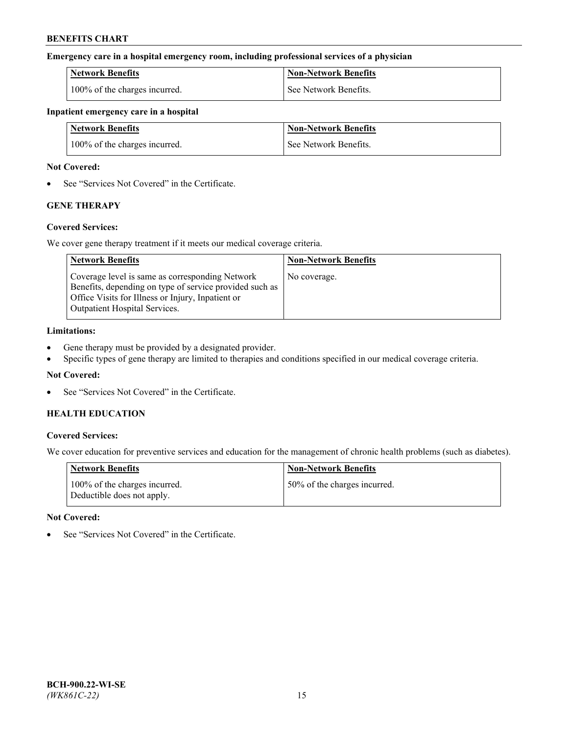## **Emergency care in a hospital emergency room, including professional services of a physician**

| <b>Network Benefits</b>       | <b>Non-Network Benefits</b> |
|-------------------------------|-----------------------------|
| 100% of the charges incurred. | See Network Benefits.       |

#### **Inpatient emergency care in a hospital**

| <b>Network Benefits</b>       | <b>Non-Network Benefits</b> |
|-------------------------------|-----------------------------|
| 100% of the charges incurred. | See Network Benefits.       |

## **Not Covered:**

• See "Services Not Covered" in the Certificate.

# **GENE THERAPY**

## **Covered Services:**

We cover gene therapy treatment if it meets our medical coverage criteria.

| <b>Network Benefits</b>                                                                                                                                                                          | <b>Non-Network Benefits</b> |
|--------------------------------------------------------------------------------------------------------------------------------------------------------------------------------------------------|-----------------------------|
| Coverage level is same as corresponding Network<br>Benefits, depending on type of service provided such as<br>Office Visits for Illness or Injury, Inpatient or<br>Outpatient Hospital Services. | No coverage.                |

## **Limitations:**

- Gene therapy must be provided by a designated provider.
- Specific types of gene therapy are limited to therapies and conditions specified in our medical coverage criteria.

## **Not Covered:**

See "Services Not Covered" in the Certificate.

## **HEALTH EDUCATION**

## **Covered Services:**

We cover education for preventive services and education for the management of chronic health problems (such as diabetes).

| <b>Network Benefits</b>                                     | <b>Non-Network Benefits</b>  |
|-------------------------------------------------------------|------------------------------|
| 100% of the charges incurred.<br>Deductible does not apply. | 50% of the charges incurred. |

#### **Not Covered:**

See "Services Not Covered" in the Certificate.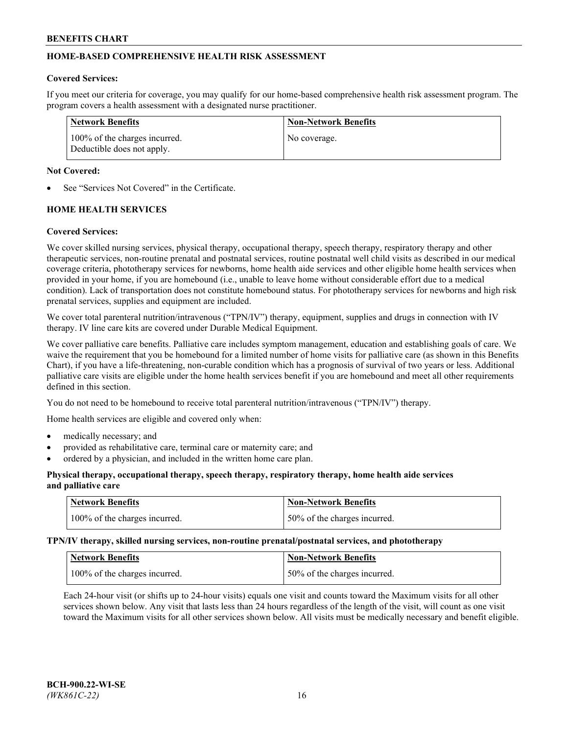# **HOME-BASED COMPREHENSIVE HEALTH RISK ASSESSMENT**

## **Covered Services:**

If you meet our criteria for coverage, you may qualify for our home-based comprehensive health risk assessment program. The program covers a health assessment with a designated nurse practitioner.

| Network Benefits                                            | <b>Non-Network Benefits</b> |
|-------------------------------------------------------------|-----------------------------|
| 100% of the charges incurred.<br>Deductible does not apply. | No coverage.                |

## **Not Covered:**

See "Services Not Covered" in the Certificate.

# **HOME HEALTH SERVICES**

## **Covered Services:**

We cover skilled nursing services, physical therapy, occupational therapy, speech therapy, respiratory therapy and other therapeutic services, non-routine prenatal and postnatal services, routine postnatal well child visits as described in our medical coverage criteria, phototherapy services for newborns, home health aide services and other eligible home health services when provided in your home, if you are homebound (i.e., unable to leave home without considerable effort due to a medical condition). Lack of transportation does not constitute homebound status. For phototherapy services for newborns and high risk prenatal services, supplies and equipment are included.

We cover total parenteral nutrition/intravenous ("TPN/IV") therapy, equipment, supplies and drugs in connection with IV therapy. IV line care kits are covered under Durable Medical Equipment.

We cover palliative care benefits. Palliative care includes symptom management, education and establishing goals of care. We waive the requirement that you be homebound for a limited number of home visits for palliative care (as shown in this Benefits Chart), if you have a life-threatening, non-curable condition which has a prognosis of survival of two years or less. Additional palliative care visits are eligible under the home health services benefit if you are homebound and meet all other requirements defined in this section.

You do not need to be homebound to receive total parenteral nutrition/intravenous ("TPN/IV") therapy.

Home health services are eligible and covered only when:

- medically necessary; and
- provided as rehabilitative care, terminal care or maternity care; and
- ordered by a physician, and included in the written home care plan.

## **Physical therapy, occupational therapy, speech therapy, respiratory therapy, home health aide services and palliative care**

| Network Benefits              | <b>Non-Network Benefits</b>  |
|-------------------------------|------------------------------|
| 100% of the charges incurred. | 50% of the charges incurred. |

**TPN/IV therapy, skilled nursing services, non-routine prenatal/postnatal services, and phototherapy**

| <b>Network Benefits</b>       | <b>Non-Network Benefits</b>  |
|-------------------------------|------------------------------|
| 100% of the charges incurred. | 50% of the charges incurred. |

Each 24-hour visit (or shifts up to 24-hour visits) equals one visit and counts toward the Maximum visits for all other services shown below. Any visit that lasts less than 24 hours regardless of the length of the visit, will count as one visit toward the Maximum visits for all other services shown below. All visits must be medically necessary and benefit eligible.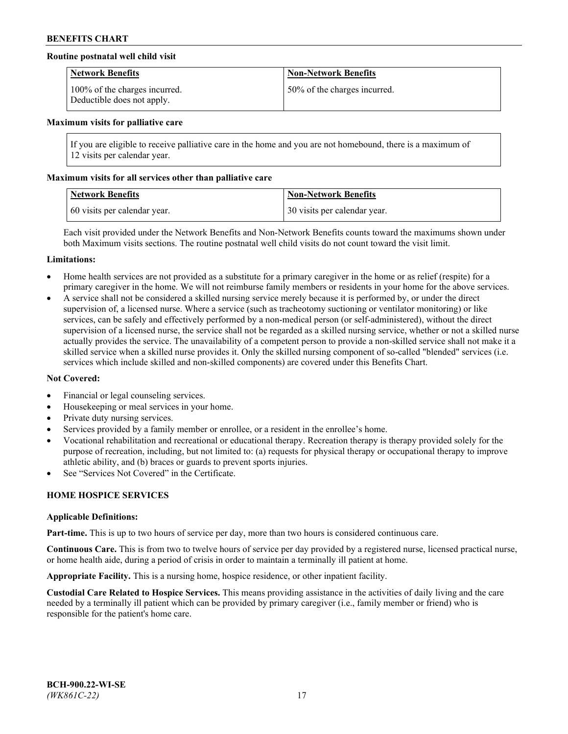## **Routine postnatal well child visit**

| <b>Network Benefits</b>                                     | <b>Non-Network Benefits</b>  |
|-------------------------------------------------------------|------------------------------|
| 100% of the charges incurred.<br>Deductible does not apply. | 50% of the charges incurred. |

#### **Maximum visits for palliative care**

If you are eligible to receive palliative care in the home and you are not homebound, there is a maximum of 12 visits per calendar year.

## **Maximum visits for all services other than palliative care**

| <b>Network Benefits</b>      | <b>Non-Network Benefits</b>  |
|------------------------------|------------------------------|
| 60 visits per calendar year. | 30 visits per calendar year. |

Each visit provided under the Network Benefits and Non-Network Benefits counts toward the maximums shown under both Maximum visits sections. The routine postnatal well child visits do not count toward the visit limit.

#### **Limitations:**

- Home health services are not provided as a substitute for a primary caregiver in the home or as relief (respite) for a primary caregiver in the home. We will not reimburse family members or residents in your home for the above services.
- A service shall not be considered a skilled nursing service merely because it is performed by, or under the direct supervision of, a licensed nurse. Where a service (such as tracheotomy suctioning or ventilator monitoring) or like services, can be safely and effectively performed by a non-medical person (or self-administered), without the direct supervision of a licensed nurse, the service shall not be regarded as a skilled nursing service, whether or not a skilled nurse actually provides the service. The unavailability of a competent person to provide a non-skilled service shall not make it a skilled service when a skilled nurse provides it. Only the skilled nursing component of so-called "blended" services (i.e. services which include skilled and non-skilled components) are covered under this Benefits Chart.

#### **Not Covered:**

- Financial or legal counseling services.
- Housekeeping or meal services in your home.
- Private duty nursing services.
- Services provided by a family member or enrollee, or a resident in the enrollee's home.
- Vocational rehabilitation and recreational or educational therapy. Recreation therapy is therapy provided solely for the purpose of recreation, including, but not limited to: (a) requests for physical therapy or occupational therapy to improve athletic ability, and (b) braces or guards to prevent sports injuries.
- See "Services Not Covered" in the Certificate.

# **HOME HOSPICE SERVICES**

#### **Applicable Definitions:**

**Part-time.** This is up to two hours of service per day, more than two hours is considered continuous care.

**Continuous Care.** This is from two to twelve hours of service per day provided by a registered nurse, licensed practical nurse, or home health aide, during a period of crisis in order to maintain a terminally ill patient at home.

**Appropriate Facility.** This is a nursing home, hospice residence, or other inpatient facility.

**Custodial Care Related to Hospice Services.** This means providing assistance in the activities of daily living and the care needed by a terminally ill patient which can be provided by primary caregiver (i.e., family member or friend) who is responsible for the patient's home care.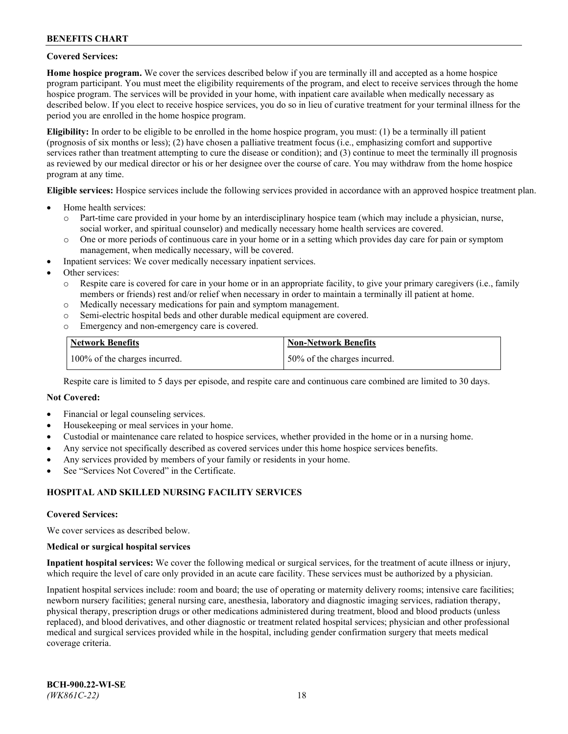## **Covered Services:**

**Home hospice program.** We cover the services described below if you are terminally ill and accepted as a home hospice program participant. You must meet the eligibility requirements of the program, and elect to receive services through the home hospice program. The services will be provided in your home, with inpatient care available when medically necessary as described below. If you elect to receive hospice services, you do so in lieu of curative treatment for your terminal illness for the period you are enrolled in the home hospice program.

**Eligibility:** In order to be eligible to be enrolled in the home hospice program, you must: (1) be a terminally ill patient (prognosis of six months or less); (2) have chosen a palliative treatment focus (i.e., emphasizing comfort and supportive services rather than treatment attempting to cure the disease or condition); and (3) continue to meet the terminally ill prognosis as reviewed by our medical director or his or her designee over the course of care. You may withdraw from the home hospice program at any time.

**Eligible services:** Hospice services include the following services provided in accordance with an approved hospice treatment plan.

- Home health services:
	- o Part-time care provided in your home by an interdisciplinary hospice team (which may include a physician, nurse, social worker, and spiritual counselor) and medically necessary home health services are covered.
	- o One or more periods of continuous care in your home or in a setting which provides day care for pain or symptom management, when medically necessary, will be covered.
- Inpatient services: We cover medically necessary inpatient services.
- Other services:
	- o Respite care is covered for care in your home or in an appropriate facility, to give your primary caregivers (i.e., family members or friends) rest and/or relief when necessary in order to maintain a terminally ill patient at home.
	- o Medically necessary medications for pain and symptom management.
	- o Semi-electric hospital beds and other durable medical equipment are covered.
	- Emergency and non-emergency care is covered.

| Network Benefits              | <b>Non-Network Benefits</b>  |
|-------------------------------|------------------------------|
| 100% of the charges incurred. | 50% of the charges incurred. |

Respite care is limited to 5 days per episode, and respite care and continuous care combined are limited to 30 days.

## **Not Covered:**

- Financial or legal counseling services.
- Housekeeping or meal services in your home.
- Custodial or maintenance care related to hospice services, whether provided in the home or in a nursing home.
- Any service not specifically described as covered services under this home hospice services benefits.
- Any services provided by members of your family or residents in your home.
- See "Services Not Covered" in the Certificate.

## **HOSPITAL AND SKILLED NURSING FACILITY SERVICES**

#### **Covered Services:**

We cover services as described below.

#### **Medical or surgical hospital services**

**Inpatient hospital services:** We cover the following medical or surgical services, for the treatment of acute illness or injury, which require the level of care only provided in an acute care facility. These services must be authorized by a physician.

Inpatient hospital services include: room and board; the use of operating or maternity delivery rooms; intensive care facilities; newborn nursery facilities; general nursing care, anesthesia, laboratory and diagnostic imaging services, radiation therapy, physical therapy, prescription drugs or other medications administered during treatment, blood and blood products (unless replaced), and blood derivatives, and other diagnostic or treatment related hospital services; physician and other professional medical and surgical services provided while in the hospital, including gender confirmation surgery that meets medical coverage criteria.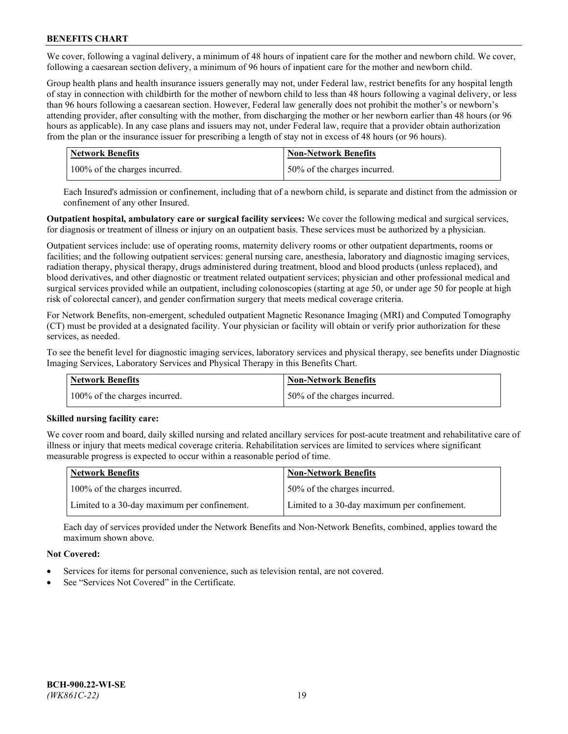We cover, following a vaginal delivery, a minimum of 48 hours of inpatient care for the mother and newborn child. We cover, following a caesarean section delivery, a minimum of 96 hours of inpatient care for the mother and newborn child.

Group health plans and health insurance issuers generally may not, under Federal law, restrict benefits for any hospital length of stay in connection with childbirth for the mother of newborn child to less than 48 hours following a vaginal delivery, or less than 96 hours following a caesarean section. However, Federal law generally does not prohibit the mother's or newborn's attending provider, after consulting with the mother, from discharging the mother or her newborn earlier than 48 hours (or 96 hours as applicable). In any case plans and issuers may not, under Federal law, require that a provider obtain authorization from the plan or the insurance issuer for prescribing a length of stay not in excess of 48 hours (or 96 hours).

| <b>Network Benefits</b>       | <b>Non-Network Benefits</b>  |
|-------------------------------|------------------------------|
| 100% of the charges incurred. | 50% of the charges incurred. |

Each Insured's admission or confinement, including that of a newborn child, is separate and distinct from the admission or confinement of any other Insured.

**Outpatient hospital, ambulatory care or surgical facility services:** We cover the following medical and surgical services, for diagnosis or treatment of illness or injury on an outpatient basis. These services must be authorized by a physician.

Outpatient services include: use of operating rooms, maternity delivery rooms or other outpatient departments, rooms or facilities; and the following outpatient services: general nursing care, anesthesia, laboratory and diagnostic imaging services, radiation therapy, physical therapy, drugs administered during treatment, blood and blood products (unless replaced), and blood derivatives, and other diagnostic or treatment related outpatient services; physician and other professional medical and surgical services provided while an outpatient, including colonoscopies (starting at age 50, or under age 50 for people at high risk of colorectal cancer), and gender confirmation surgery that meets medical coverage criteria.

For Network Benefits, non-emergent, scheduled outpatient Magnetic Resonance Imaging (MRI) and Computed Tomography (CT) must be provided at a designated facility. Your physician or facility will obtain or verify prior authorization for these services, as needed.

To see the benefit level for diagnostic imaging services, laboratory services and physical therapy, see benefits under Diagnostic Imaging Services, Laboratory Services and Physical Therapy in this Benefits Chart.

| <b>Network Benefits</b>       | <b>Non-Network Benefits</b>  |
|-------------------------------|------------------------------|
| 100% of the charges incurred. | 50% of the charges incurred. |

## **Skilled nursing facility care:**

We cover room and board, daily skilled nursing and related ancillary services for post-acute treatment and rehabilitative care of illness or injury that meets medical coverage criteria. Rehabilitation services are limited to services where significant measurable progress is expected to occur within a reasonable period of time.

| Network Benefits                             | <b>Non-Network Benefits</b>                  |
|----------------------------------------------|----------------------------------------------|
| 100% of the charges incurred.                | 50% of the charges incurred.                 |
| Limited to a 30-day maximum per confinement. | Limited to a 30-day maximum per confinement. |

Each day of services provided under the Network Benefits and Non-Network Benefits, combined, applies toward the maximum shown above.

## **Not Covered:**

- Services for items for personal convenience, such as television rental, are not covered.
- See "Services Not Covered" in the Certificate.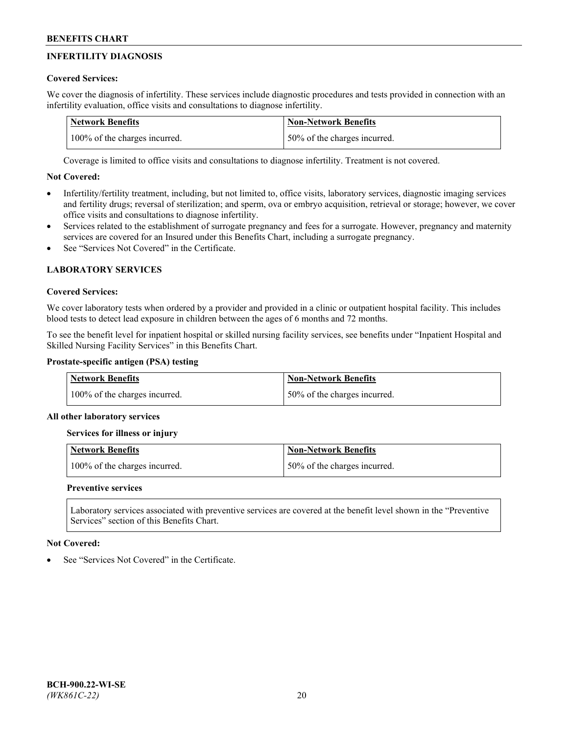# **INFERTILITY DIAGNOSIS**

# **Covered Services:**

We cover the diagnosis of infertility. These services include diagnostic procedures and tests provided in connection with an infertility evaluation, office visits and consultations to diagnose infertility.

| <b>Network Benefits</b>       | <b>Non-Network Benefits</b>  |
|-------------------------------|------------------------------|
| 100% of the charges incurred. | 50% of the charges incurred. |

Coverage is limited to office visits and consultations to diagnose infertility. Treatment is not covered.

# **Not Covered:**

- Infertility/fertility treatment, including, but not limited to, office visits, laboratory services, diagnostic imaging services and fertility drugs; reversal of sterilization; and sperm, ova or embryo acquisition, retrieval or storage; however, we cover office visits and consultations to diagnose infertility.
- Services related to the establishment of surrogate pregnancy and fees for a surrogate. However, pregnancy and maternity services are covered for an Insured under this Benefits Chart, including a surrogate pregnancy.
- See "Services Not Covered" in the Certificate

# **LABORATORY SERVICES**

## **Covered Services:**

We cover laboratory tests when ordered by a provider and provided in a clinic or outpatient hospital facility. This includes blood tests to detect lead exposure in children between the ages of 6 months and 72 months.

To see the benefit level for inpatient hospital or skilled nursing facility services, see benefits under "Inpatient Hospital and Skilled Nursing Facility Services" in this Benefits Chart.

## **Prostate-specific antigen (PSA) testing**

| <b>Network Benefits</b>       | <b>Non-Network Benefits</b>  |
|-------------------------------|------------------------------|
| 100% of the charges incurred. | 50% of the charges incurred. |

## **All other laboratory services**

**Services for illness or injury**

| <b>Network Benefits</b>       | Non-Network Benefits         |
|-------------------------------|------------------------------|
| 100% of the charges incurred. | 50% of the charges incurred. |

## **Preventive services**

Laboratory services associated with preventive services are covered at the benefit level shown in the "Preventive Services" section of this Benefits Chart.

## **Not Covered:**

See "Services Not Covered" in the Certificate.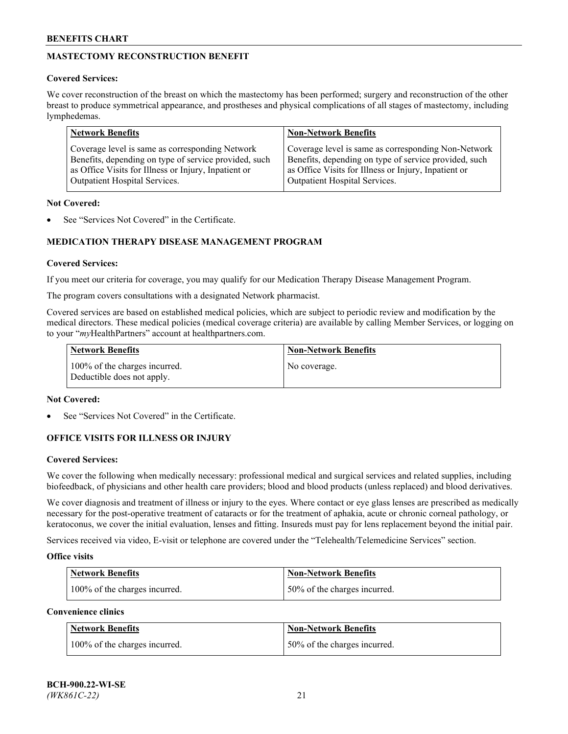# **MASTECTOMY RECONSTRUCTION BENEFIT**

## **Covered Services:**

We cover reconstruction of the breast on which the mastectomy has been performed; surgery and reconstruction of the other breast to produce symmetrical appearance, and prostheses and physical complications of all stages of mastectomy, including lymphedemas.

| <b>Network Benefits</b>                               | <b>Non-Network Benefits</b>                           |
|-------------------------------------------------------|-------------------------------------------------------|
| Coverage level is same as corresponding Network       | Coverage level is same as corresponding Non-Network   |
| Benefits, depending on type of service provided, such | Benefits, depending on type of service provided, such |
| as Office Visits for Illness or Injury, Inpatient or  | as Office Visits for Illness or Injury, Inpatient or  |
| Outpatient Hospital Services.                         | Outpatient Hospital Services.                         |

## **Not Covered:**

See "Services Not Covered" in the Certificate.

# **MEDICATION THERAPY DISEASE MANAGEMENT PROGRAM**

## **Covered Services:**

If you meet our criteria for coverage, you may qualify for our Medication Therapy Disease Management Program.

The program covers consultations with a designated Network pharmacist.

Covered services are based on established medical policies, which are subject to periodic review and modification by the medical directors. These medical policies (medical coverage criteria) are available by calling Member Services, or logging on to your "*my*HealthPartners" account at [healthpartners.com.](http://www.healthpartners.com/)

| Network Benefits                                            | <b>Non-Network Benefits</b> |
|-------------------------------------------------------------|-----------------------------|
| 100% of the charges incurred.<br>Deductible does not apply. | No coverage.                |

## **Not Covered:**

See "Services Not Covered" in the Certificate.

## **OFFICE VISITS FOR ILLNESS OR INJURY**

#### **Covered Services:**

We cover the following when medically necessary: professional medical and surgical services and related supplies, including biofeedback, of physicians and other health care providers; blood and blood products (unless replaced) and blood derivatives.

We cover diagnosis and treatment of illness or injury to the eyes. Where contact or eye glass lenses are prescribed as medically necessary for the post-operative treatment of cataracts or for the treatment of aphakia, acute or chronic corneal pathology, or keratoconus, we cover the initial evaluation, lenses and fitting. Insureds must pay for lens replacement beyond the initial pair.

Services received via video, E-visit or telephone are covered under the "Telehealth/Telemedicine Services" section.

#### **Office visits**

| <b>Network Benefits</b>       | <b>Non-Network Benefits</b>  |
|-------------------------------|------------------------------|
| 100% of the charges incurred. | 50% of the charges incurred. |

**Convenience clinics**

| <b>Network Benefits</b>       | <b>Non-Network Benefits</b>   |
|-------------------------------|-------------------------------|
| 100% of the charges incurred. | 150% of the charges incurred. |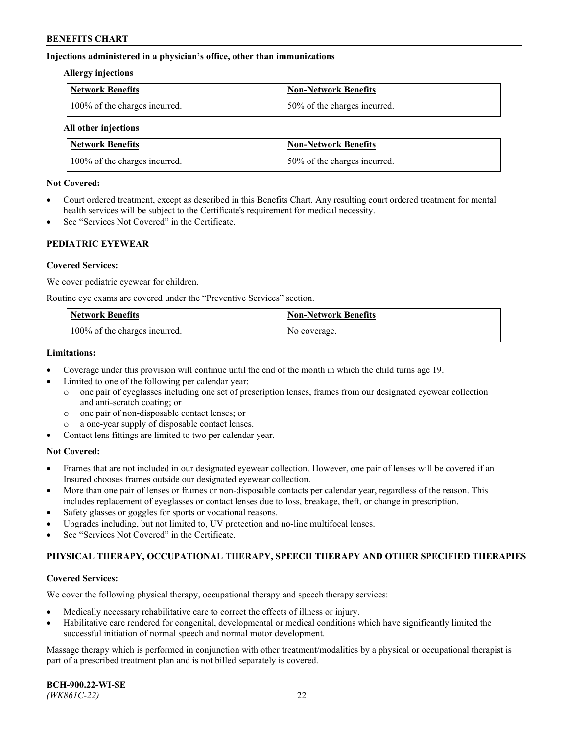## **Injections administered in a physician's office, other than immunizations**

#### **Allergy injections**

| Network Benefits              | Non-Network Benefits         |
|-------------------------------|------------------------------|
| 100% of the charges incurred. | 50% of the charges incurred. |

#### **All other injections**

| <b>Network Benefits</b>       | <b>Non-Network Benefits</b>  |
|-------------------------------|------------------------------|
| 100% of the charges incurred. | 50% of the charges incurred. |

## **Not Covered:**

- Court ordered treatment, except as described in this Benefits Chart. Any resulting court ordered treatment for mental health services will be subject to the Certificate's requirement for medical necessity.
- See "Services Not Covered" in the Certificate.

## **PEDIATRIC EYEWEAR**

## **Covered Services:**

We cover pediatric eyewear for children.

Routine eye exams are covered under the "Preventive Services" section.

| Network Benefits              | <b>Non-Network Benefits</b> |
|-------------------------------|-----------------------------|
| 100% of the charges incurred. | No coverage.                |

## **Limitations:**

- Coverage under this provision will continue until the end of the month in which the child turns age 19.
- Limited to one of the following per calendar year:
	- o one pair of eyeglasses including one set of prescription lenses, frames from our designated eyewear collection and anti-scratch coating; or
	- o one pair of non-disposable contact lenses; or
	- o a one-year supply of disposable contact lenses.
- Contact lens fittings are limited to two per calendar year.

## **Not Covered:**

- Frames that are not included in our designated eyewear collection. However, one pair of lenses will be covered if an Insured chooses frames outside our designated eyewear collection.
- More than one pair of lenses or frames or non-disposable contacts per calendar year, regardless of the reason. This includes replacement of eyeglasses or contact lenses due to loss, breakage, theft, or change in prescription.
- Safety glasses or goggles for sports or vocational reasons.
- Upgrades including, but not limited to, UV protection and no-line multifocal lenses.
- See "Services Not Covered" in the Certificate.

## **PHYSICAL THERAPY, OCCUPATIONAL THERAPY, SPEECH THERAPY AND OTHER SPECIFIED THERAPIES**

#### **Covered Services:**

We cover the following physical therapy, occupational therapy and speech therapy services:

- Medically necessary rehabilitative care to correct the effects of illness or injury.
- Habilitative care rendered for congenital, developmental or medical conditions which have significantly limited the successful initiation of normal speech and normal motor development.

Massage therapy which is performed in conjunction with other treatment/modalities by a physical or occupational therapist is part of a prescribed treatment plan and is not billed separately is covered.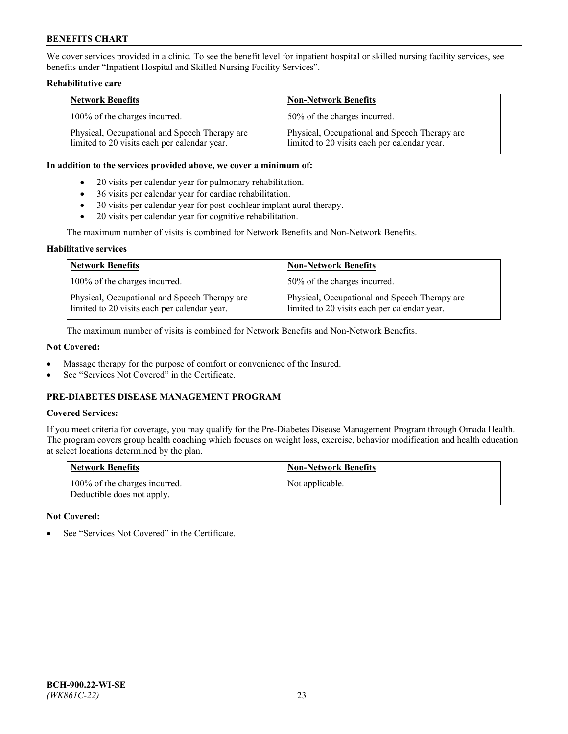We cover services provided in a clinic. To see the benefit level for inpatient hospital or skilled nursing facility services, see benefits under "Inpatient Hospital and Skilled Nursing Facility Services".

## **Rehabilitative care**

| <b>Network Benefits</b>                                                                       | <b>Non-Network Benefits</b>                                                                   |
|-----------------------------------------------------------------------------------------------|-----------------------------------------------------------------------------------------------|
| 100% of the charges incurred.                                                                 | 50% of the charges incurred.                                                                  |
| Physical, Occupational and Speech Therapy are<br>limited to 20 visits each per calendar year. | Physical, Occupational and Speech Therapy are<br>limited to 20 visits each per calendar year. |

## **In addition to the services provided above, we cover a minimum of:**

- 20 visits per calendar year for pulmonary rehabilitation.
- 36 visits per calendar year for cardiac rehabilitation.
- 30 visits per calendar year for post-cochlear implant aural therapy.
- 20 visits per calendar year for cognitive rehabilitation.

The maximum number of visits is combined for Network Benefits and Non-Network Benefits.

## **Habilitative services**

| <b>Network Benefits</b>                                                                       | <b>Non-Network Benefits</b>                                                                   |
|-----------------------------------------------------------------------------------------------|-----------------------------------------------------------------------------------------------|
| 100% of the charges incurred.                                                                 | 50% of the charges incurred.                                                                  |
| Physical, Occupational and Speech Therapy are<br>limited to 20 visits each per calendar year. | Physical, Occupational and Speech Therapy are<br>limited to 20 visits each per calendar year. |

The maximum number of visits is combined for Network Benefits and Non-Network Benefits.

## **Not Covered:**

- Massage therapy for the purpose of comfort or convenience of the Insured.
- See "Services Not Covered" in the Certificate.

# **PRE-DIABETES DISEASE MANAGEMENT PROGRAM**

## **Covered Services:**

If you meet criteria for coverage, you may qualify for the Pre-Diabetes Disease Management Program through Omada Health. The program covers group health coaching which focuses on weight loss, exercise, behavior modification and health education at select locations determined by the plan.

| <b>Network Benefits</b>                                     | <b>Non-Network Benefits</b> |
|-------------------------------------------------------------|-----------------------------|
| 100% of the charges incurred.<br>Deductible does not apply. | Not applicable.             |

## **Not Covered:**

See "Services Not Covered" in the Certificate.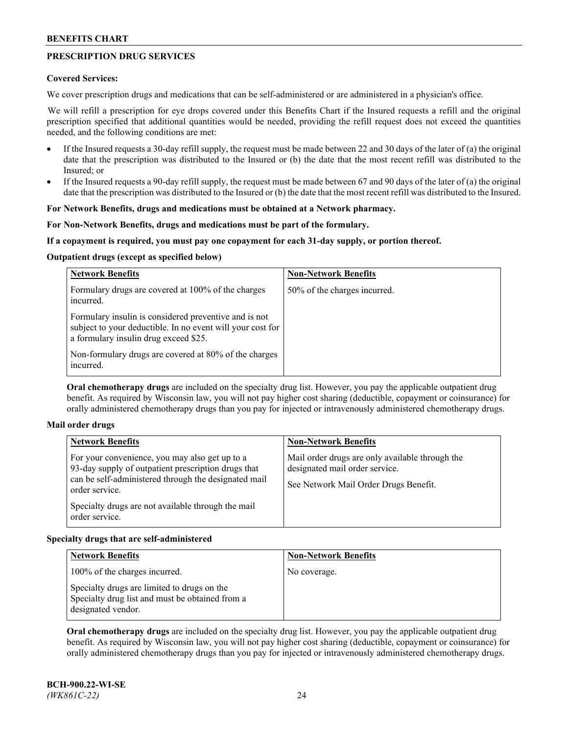# **PRESCRIPTION DRUG SERVICES**

## **Covered Services:**

We cover prescription drugs and medications that can be self-administered or are administered in a physician's office.

We will refill a prescription for eye drops covered under this Benefits Chart if the Insured requests a refill and the original prescription specified that additional quantities would be needed, providing the refill request does not exceed the quantities needed, and the following conditions are met:

- If the Insured requests a 30-day refill supply, the request must be made between 22 and 30 days of the later of (a) the original date that the prescription was distributed to the Insured or (b) the date that the most recent refill was distributed to the Insured; or
- If the Insured requests a 90-day refill supply, the request must be made between 67 and 90 days of the later of (a) the original date that the prescription was distributed to the Insured or (b) the date that the most recent refill was distributed to the Insured.

## **For Network Benefits, drugs and medications must be obtained at a Network pharmacy.**

## **For Non-Network Benefits, drugs and medications must be part of the formulary.**

## **If a copayment is required, you must pay one copayment for each 31-day supply, or portion thereof.**

## **Outpatient drugs (except as specified below)**

| <b>Network Benefits</b>                                                                                                                                      | <b>Non-Network Benefits</b>  |
|--------------------------------------------------------------------------------------------------------------------------------------------------------------|------------------------------|
| Formulary drugs are covered at 100% of the charges<br>incurred.                                                                                              | 50% of the charges incurred. |
| Formulary insulin is considered preventive and is not<br>subject to your deductible. In no event will your cost for<br>a formulary insulin drug exceed \$25. |                              |
| Non-formulary drugs are covered at 80% of the charges<br>incurred.                                                                                           |                              |

**Oral chemotherapy drugs** are included on the specialty drug list. However, you pay the applicable outpatient drug benefit. As required by Wisconsin law, you will not pay higher cost sharing (deductible, copayment or coinsurance) for orally administered chemotherapy drugs than you pay for injected or intravenously administered chemotherapy drugs.

#### **Mail order drugs**

| For your convenience, you may also get up to a                                                                                                                                                        |                                                                                                                            |
|-------------------------------------------------------------------------------------------------------------------------------------------------------------------------------------------------------|----------------------------------------------------------------------------------------------------------------------------|
| 93-day supply of outpatient prescription drugs that<br>can be self-administered through the designated mail<br>order service.<br>Specialty drugs are not available through the mail<br>order service. | Mail order drugs are only available through the<br>designated mail order service.<br>See Network Mail Order Drugs Benefit. |

## **Specialty drugs that are self-administered**

| <b>Network Benefits</b>                                                                                              | <b>Non-Network Benefits</b> |
|----------------------------------------------------------------------------------------------------------------------|-----------------------------|
| 100% of the charges incurred.                                                                                        | No coverage.                |
| Specialty drugs are limited to drugs on the<br>Specialty drug list and must be obtained from a<br>designated vendor. |                             |

**Oral chemotherapy drugs** are included on the specialty drug list. However, you pay the applicable outpatient drug benefit. As required by Wisconsin law, you will not pay higher cost sharing (deductible, copayment or coinsurance) for orally administered chemotherapy drugs than you pay for injected or intravenously administered chemotherapy drugs.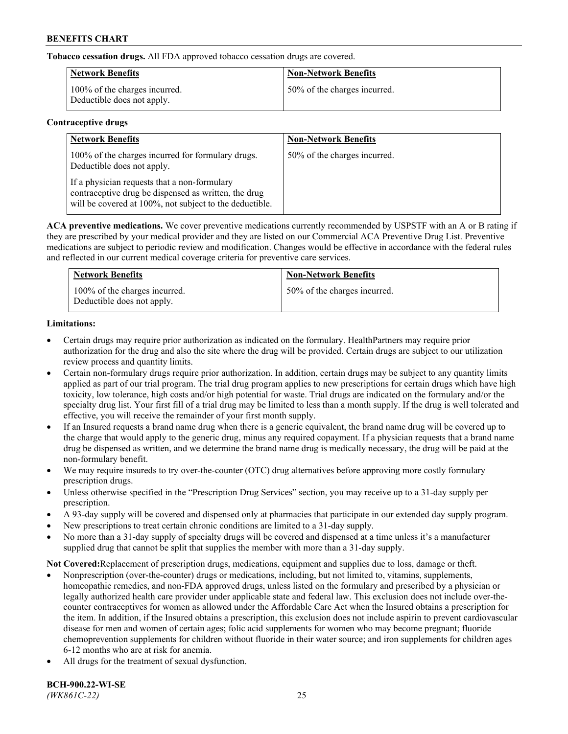**Tobacco cessation drugs.** All FDA approved tobacco cessation drugs are covered.

| Network Benefits                                            | <b>Non-Network Benefits</b>  |
|-------------------------------------------------------------|------------------------------|
| 100% of the charges incurred.<br>Deductible does not apply. | 50% of the charges incurred. |

## **Contraceptive drugs**

| <b>Network Benefits</b>                                                                                                                                         | <b>Non-Network Benefits</b>  |
|-----------------------------------------------------------------------------------------------------------------------------------------------------------------|------------------------------|
| 100% of the charges incurred for formulary drugs.<br>Deductible does not apply.                                                                                 | 50% of the charges incurred. |
| If a physician requests that a non-formulary<br>contraceptive drug be dispensed as written, the drug<br>will be covered at 100%, not subject to the deductible. |                              |

**ACA preventive medications.** We cover preventive medications currently recommended by USPSTF with an A or B rating if they are prescribed by your medical provider and they are listed on our Commercial ACA Preventive Drug List. Preventive medications are subject to periodic review and modification. Changes would be effective in accordance with the federal rules and reflected in our current medical coverage criteria for preventive care services.

| <b>Network Benefits</b>                                     | <b>Non-Network Benefits</b>  |
|-------------------------------------------------------------|------------------------------|
| 100% of the charges incurred.<br>Deductible does not apply. | 50% of the charges incurred. |

# **Limitations:**

- Certain drugs may require prior authorization as indicated on the formulary. HealthPartners may require prior authorization for the drug and also the site where the drug will be provided. Certain drugs are subject to our utilization review process and quantity limits.
- Certain non-formulary drugs require prior authorization. In addition, certain drugs may be subject to any quantity limits applied as part of our trial program. The trial drug program applies to new prescriptions for certain drugs which have high toxicity, low tolerance, high costs and/or high potential for waste. Trial drugs are indicated on the formulary and/or the specialty drug list. Your first fill of a trial drug may be limited to less than a month supply. If the drug is well tolerated and effective, you will receive the remainder of your first month supply.
- If an Insured requests a brand name drug when there is a generic equivalent, the brand name drug will be covered up to the charge that would apply to the generic drug, minus any required copayment. If a physician requests that a brand name drug be dispensed as written, and we determine the brand name drug is medically necessary, the drug will be paid at the non-formulary benefit.
- We may require insureds to try over-the-counter (OTC) drug alternatives before approving more costly formulary prescription drugs.
- Unless otherwise specified in the "Prescription Drug Services" section, you may receive up to a 31-day supply per prescription.
- A 93-day supply will be covered and dispensed only at pharmacies that participate in our extended day supply program.
- New prescriptions to treat certain chronic conditions are limited to a 31-day supply.
- No more than a 31-day supply of specialty drugs will be covered and dispensed at a time unless it's a manufacturer supplied drug that cannot be split that supplies the member with more than a 31-day supply.

**Not Covered:**Replacement of prescription drugs, medications, equipment and supplies due to loss, damage or theft.

- Nonprescription (over-the-counter) drugs or medications, including, but not limited to, vitamins, supplements, homeopathic remedies, and non-FDA approved drugs, unless listed on the formulary and prescribed by a physician or legally authorized health care provider under applicable state and federal law. This exclusion does not include over-thecounter contraceptives for women as allowed under the Affordable Care Act when the Insured obtains a prescription for the item. In addition, if the Insured obtains a prescription, this exclusion does not include aspirin to prevent cardiovascular disease for men and women of certain ages; folic acid supplements for women who may become pregnant; fluoride chemoprevention supplements for children without fluoride in their water source; and iron supplements for children ages 6-12 months who are at risk for anemia.
- All drugs for the treatment of sexual dysfunction.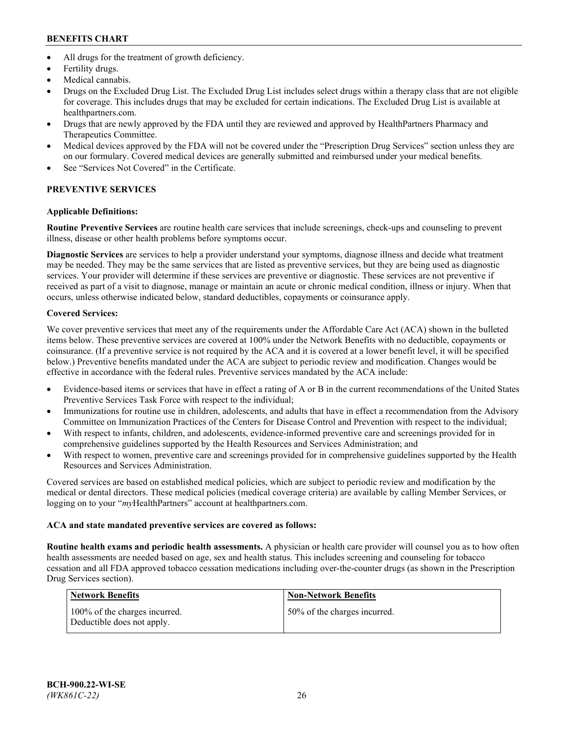- All drugs for the treatment of growth deficiency.
- Fertility drugs.
- Medical cannabis.
- Drugs on the Excluded Drug List. The Excluded Drug List includes select drugs within a therapy class that are not eligible for coverage. This includes drugs that may be excluded for certain indications. The Excluded Drug List is available at [healthpartners.com.](http://www.healthpartners.com/)
- Drugs that are newly approved by the FDA until they are reviewed and approved by HealthPartners Pharmacy and Therapeutics Committee.
- Medical devices approved by the FDA will not be covered under the "Prescription Drug Services" section unless they are on our formulary. Covered medical devices are generally submitted and reimbursed under your medical benefits.
- See "Services Not Covered" in the Certificate.

# **PREVENTIVE SERVICES**

# **Applicable Definitions:**

**Routine Preventive Services** are routine health care services that include screenings, check-ups and counseling to prevent illness, disease or other health problems before symptoms occur.

**Diagnostic Services** are services to help a provider understand your symptoms, diagnose illness and decide what treatment may be needed. They may be the same services that are listed as preventive services, but they are being used as diagnostic services. Your provider will determine if these services are preventive or diagnostic. These services are not preventive if received as part of a visit to diagnose, manage or maintain an acute or chronic medical condition, illness or injury. When that occurs, unless otherwise indicated below, standard deductibles, copayments or coinsurance apply.

# **Covered Services:**

We cover preventive services that meet any of the requirements under the Affordable Care Act (ACA) shown in the bulleted items below. These preventive services are covered at 100% under the Network Benefits with no deductible, copayments or coinsurance. (If a preventive service is not required by the ACA and it is covered at a lower benefit level, it will be specified below.) Preventive benefits mandated under the ACA are subject to periodic review and modification. Changes would be effective in accordance with the federal rules. Preventive services mandated by the ACA include:

- Evidence-based items or services that have in effect a rating of A or B in the current recommendations of the United States Preventive Services Task Force with respect to the individual;
- Immunizations for routine use in children, adolescents, and adults that have in effect a recommendation from the Advisory Committee on Immunization Practices of the Centers for Disease Control and Prevention with respect to the individual;
- With respect to infants, children, and adolescents, evidence-informed preventive care and screenings provided for in comprehensive guidelines supported by the Health Resources and Services Administration; and
- With respect to women, preventive care and screenings provided for in comprehensive guidelines supported by the Health Resources and Services Administration.

Covered services are based on established medical policies, which are subject to periodic review and modification by the medical or dental directors. These medical policies (medical coverage criteria) are available by calling Member Services, or logging on to your "*my*HealthPartners" account at [healthpartners.com.](https://www.healthpartners.com/hp/index.html)

# **ACA and state mandated preventive services are covered as follows:**

**Routine health exams and periodic health assessments.** A physician or health care provider will counsel you as to how often health assessments are needed based on age, sex and health status. This includes screening and counseling for tobacco cessation and all FDA approved tobacco cessation medications including over-the-counter drugs (as shown in the Prescription Drug Services section).

| Network Benefits                                            | <b>Non-Network Benefits</b>  |
|-------------------------------------------------------------|------------------------------|
| 100% of the charges incurred.<br>Deductible does not apply. | 50% of the charges incurred. |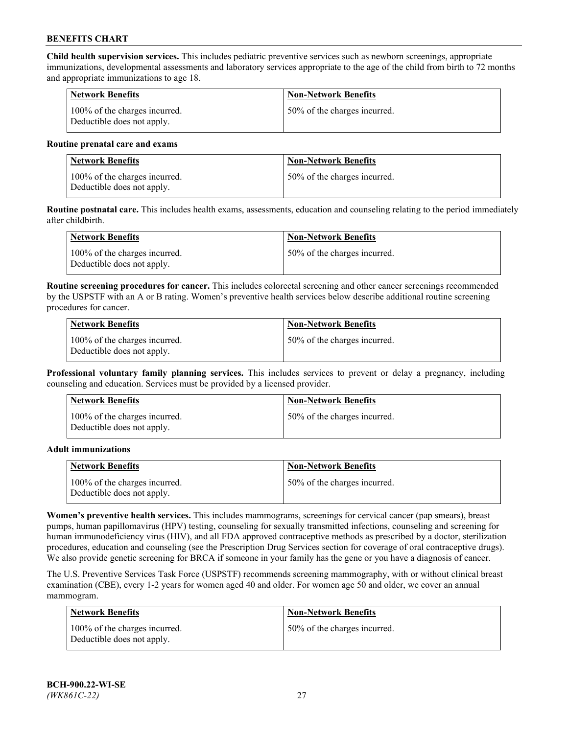**Child health supervision services.** This includes pediatric preventive services such as newborn screenings, appropriate immunizations, developmental assessments and laboratory services appropriate to the age of the child from birth to 72 months and appropriate immunizations to age 18.

| Network Benefits                                            | <b>Non-Network Benefits</b>   |
|-------------------------------------------------------------|-------------------------------|
| 100% of the charges incurred.<br>Deductible does not apply. | 150% of the charges incurred. |

#### **Routine prenatal care and exams**

| Network Benefits                                            | <b>Non-Network Benefits</b>  |
|-------------------------------------------------------------|------------------------------|
| 100% of the charges incurred.<br>Deductible does not apply. | 50% of the charges incurred. |

**Routine postnatal care.** This includes health exams, assessments, education and counseling relating to the period immediately after childbirth.

| Network Benefits                                            | <b>Non-Network Benefits</b>  |
|-------------------------------------------------------------|------------------------------|
| 100% of the charges incurred.<br>Deductible does not apply. | 50% of the charges incurred. |

**Routine screening procedures for cancer.** This includes colorectal screening and other cancer screenings recommended by the USPSTF with an A or B rating. Women's preventive health services below describe additional routine screening procedures for cancer.

| <b>Network Benefits</b>                                     | <b>Non-Network Benefits</b>  |
|-------------------------------------------------------------|------------------------------|
| 100% of the charges incurred.<br>Deductible does not apply. | 50% of the charges incurred. |

**Professional voluntary family planning services.** This includes services to prevent or delay a pregnancy, including counseling and education. Services must be provided by a licensed provider.

| <b>Network Benefits</b>                                     | <b>Non-Network Benefits</b>  |
|-------------------------------------------------------------|------------------------------|
| 100% of the charges incurred.<br>Deductible does not apply. | 50% of the charges incurred. |

#### **Adult immunizations**

| <b>Network Benefits</b>                                     | <b>Non-Network Benefits</b>  |
|-------------------------------------------------------------|------------------------------|
| 100% of the charges incurred.<br>Deductible does not apply. | 50% of the charges incurred. |

**Women's preventive health services.** This includes mammograms, screenings for cervical cancer (pap smears), breast pumps, human papillomavirus (HPV) testing, counseling for sexually transmitted infections, counseling and screening for human immunodeficiency virus (HIV), and all FDA approved contraceptive methods as prescribed by a doctor, sterilization procedures, education and counseling (see the Prescription Drug Services section for coverage of oral contraceptive drugs). We also provide genetic screening for BRCA if someone in your family has the gene or you have a diagnosis of cancer.

The U.S. Preventive Services Task Force (USPSTF) recommends screening mammography, with or without clinical breast examination (CBE), every 1-2 years for women aged 40 and older. For women age 50 and older, we cover an annual mammogram.

| <b>Network Benefits</b>                                     | <b>Non-Network Benefits</b>  |
|-------------------------------------------------------------|------------------------------|
| 100% of the charges incurred.<br>Deductible does not apply. | 50% of the charges incurred. |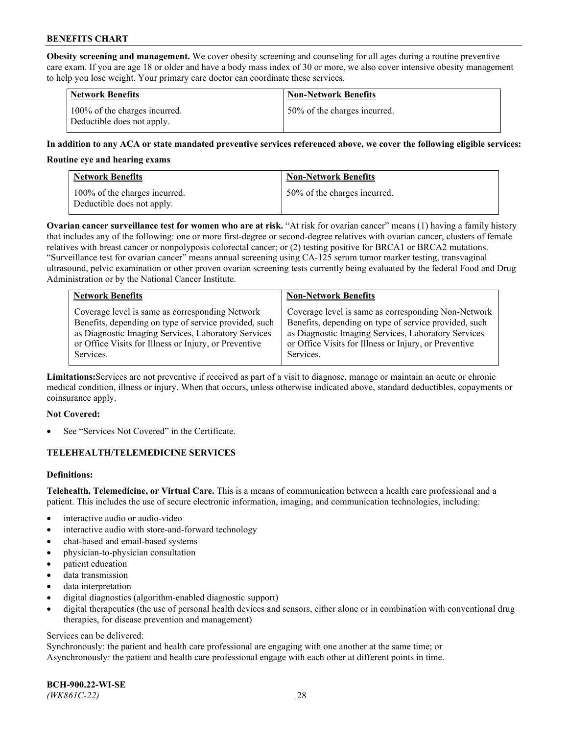**Obesity screening and management.** We cover obesity screening and counseling for all ages during a routine preventive care exam. If you are age 18 or older and have a body mass index of 30 or more, we also cover intensive obesity management to help you lose weight. Your primary care doctor can coordinate these services.

| <b>Network Benefits</b>                                     | <b>Non-Network Benefits</b>  |
|-------------------------------------------------------------|------------------------------|
| 100% of the charges incurred.<br>Deductible does not apply. | 50% of the charges incurred. |

## **In addition to any ACA or state mandated preventive services referenced above, we cover the following eligible services:**

#### **Routine eye and hearing exams**

| <b>Network Benefits</b>                                     | <b>Non-Network Benefits</b>  |
|-------------------------------------------------------------|------------------------------|
| 100% of the charges incurred.<br>Deductible does not apply. | 50% of the charges incurred. |

**Ovarian cancer surveillance test for women who are at risk.** "At risk for ovarian cancer" means (1) having a family history that includes any of the following: one or more first-degree or second-degree relatives with ovarian cancer, clusters of female relatives with breast cancer or nonpolyposis colorectal cancer; or (2) testing positive for BRCA1 or BRCA2 mutations. "Surveillance test for ovarian cancer" means annual screening using CA-125 serum tumor marker testing, transvaginal ultrasound, pelvic examination or other proven ovarian screening tests currently being evaluated by the federal Food and Drug Administration or by the National Cancer Institute.

| <b>Network Benefits</b>                               | <b>Non-Network Benefits</b>                           |
|-------------------------------------------------------|-------------------------------------------------------|
| Coverage level is same as corresponding Network       | Coverage level is same as corresponding Non-Network   |
| Benefits, depending on type of service provided, such | Benefits, depending on type of service provided, such |
| as Diagnostic Imaging Services, Laboratory Services   | as Diagnostic Imaging Services, Laboratory Services   |
| or Office Visits for Illness or Injury, or Preventive | or Office Visits for Illness or Injury, or Preventive |
| Services.                                             | Services.                                             |

**Limitations:**Services are not preventive if received as part of a visit to diagnose, manage or maintain an acute or chronic medical condition, illness or injury. When that occurs, unless otherwise indicated above, standard deductibles, copayments or coinsurance apply.

#### **Not Covered:**

See "Services Not Covered" in the Certificate.

## **TELEHEALTH/TELEMEDICINE SERVICES**

## **Definitions:**

**Telehealth, Telemedicine, or Virtual Care.** This is a means of communication between a health care professional and a patient. This includes the use of secure electronic information, imaging, and communication technologies, including:

- interactive audio or audio-video
- interactive audio with store-and-forward technology
- chat-based and email-based systems
- physician-to-physician consultation
- patient education
- data transmission
- data interpretation
- digital diagnostics (algorithm-enabled diagnostic support)
- digital therapeutics (the use of personal health devices and sensors, either alone or in combination with conventional drug therapies, for disease prevention and management)

#### Services can be delivered:

Synchronously: the patient and health care professional are engaging with one another at the same time; or Asynchronously: the patient and health care professional engage with each other at different points in time.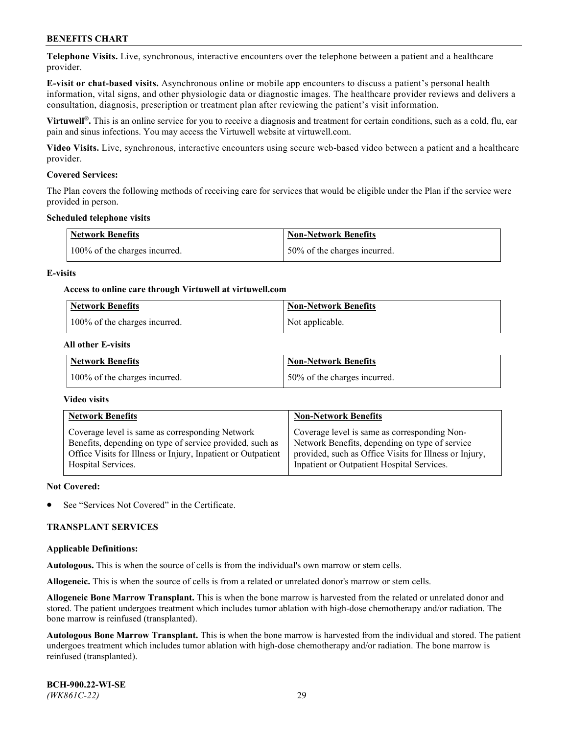**Telephone Visits.** Live, synchronous, interactive encounters over the telephone between a patient and a healthcare provider.

**E-visit or chat-based visits.** Asynchronous online or mobile app encounters to discuss a patient's personal health information, vital signs, and other physiologic data or diagnostic images. The healthcare provider reviews and delivers a consultation, diagnosis, prescription or treatment plan after reviewing the patient's visit information.

**Virtuwell®.** This is an online service for you to receive a diagnosis and treatment for certain conditions, such as a cold, flu, ear pain and sinus infections. You may access the Virtuwell website at [virtuwell.com.](https://www.virtuwell.com/)

**Video Visits.** Live, synchronous, interactive encounters using secure web-based video between a patient and a healthcare provider.

## **Covered Services:**

The Plan covers the following methods of receiving care for services that would be eligible under the Plan if the service were provided in person.

#### **Scheduled telephone visits**

| <b>Network Benefits</b>       | <b>Non-Network Benefits</b>  |
|-------------------------------|------------------------------|
| 100% of the charges incurred. | 50% of the charges incurred. |

## **E-visits**

## **Access to online care through Virtuwell at [virtuwell.com](https://www.virtuwell.com/)**

| Network Benefits              | <b>Non-Network Benefits</b> |
|-------------------------------|-----------------------------|
| 100% of the charges incurred. | Not applicable.             |

## **All other E-visits**

| <b>Network Benefits</b>       | <b>Non-Network Benefits</b>  |
|-------------------------------|------------------------------|
| 100% of the charges incurred. | 50% of the charges incurred. |

#### **Video visits**

| <b>Network Benefits</b>                                      | <b>Non-Network Benefits</b>                            |
|--------------------------------------------------------------|--------------------------------------------------------|
| Coverage level is same as corresponding Network              | Coverage level is same as corresponding Non-           |
| Benefits, depending on type of service provided, such as     | Network Benefits, depending on type of service         |
| Office Visits for Illness or Injury, Inpatient or Outpatient | provided, such as Office Visits for Illness or Injury, |
| Hospital Services.                                           | Inpatient or Outpatient Hospital Services.             |

#### **Not Covered:**

See "Services Not Covered" in the Certificate.

## **TRANSPLANT SERVICES**

#### **Applicable Definitions:**

**Autologous.** This is when the source of cells is from the individual's own marrow or stem cells.

**Allogeneic.** This is when the source of cells is from a related or unrelated donor's marrow or stem cells.

**Allogeneic Bone Marrow Transplant.** This is when the bone marrow is harvested from the related or unrelated donor and stored. The patient undergoes treatment which includes tumor ablation with high-dose chemotherapy and/or radiation. The bone marrow is reinfused (transplanted).

**Autologous Bone Marrow Transplant.** This is when the bone marrow is harvested from the individual and stored. The patient undergoes treatment which includes tumor ablation with high-dose chemotherapy and/or radiation. The bone marrow is reinfused (transplanted).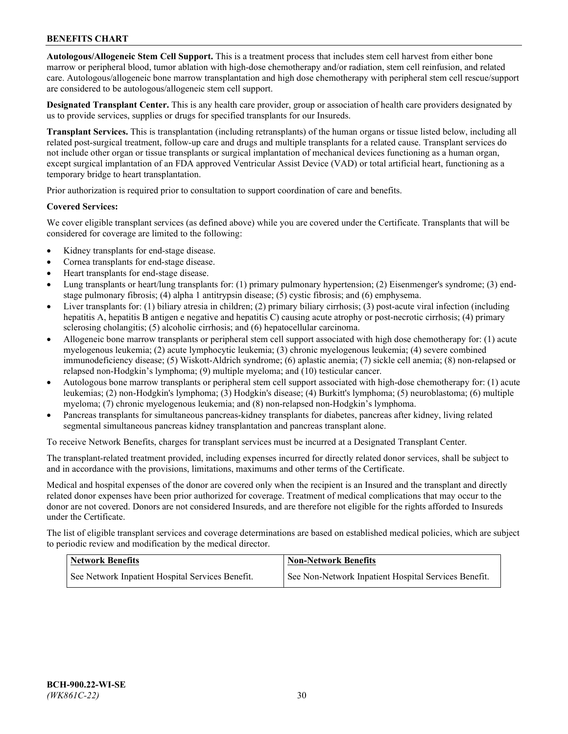**Autologous/Allogeneic Stem Cell Support.** This is a treatment process that includes stem cell harvest from either bone marrow or peripheral blood, tumor ablation with high-dose chemotherapy and/or radiation, stem cell reinfusion, and related care. Autologous/allogeneic bone marrow transplantation and high dose chemotherapy with peripheral stem cell rescue/support are considered to be autologous/allogeneic stem cell support.

**Designated Transplant Center.** This is any health care provider, group or association of health care providers designated by us to provide services, supplies or drugs for specified transplants for our Insureds.

**Transplant Services.** This is transplantation (including retransplants) of the human organs or tissue listed below, including all related post-surgical treatment, follow-up care and drugs and multiple transplants for a related cause. Transplant services do not include other organ or tissue transplants or surgical implantation of mechanical devices functioning as a human organ, except surgical implantation of an FDA approved Ventricular Assist Device (VAD) or total artificial heart, functioning as a temporary bridge to heart transplantation.

Prior authorization is required prior to consultation to support coordination of care and benefits.

## **Covered Services:**

We cover eligible transplant services (as defined above) while you are covered under the Certificate. Transplants that will be considered for coverage are limited to the following:

- Kidney transplants for end-stage disease.
- Cornea transplants for end-stage disease.
- Heart transplants for end-stage disease.
- Lung transplants or heart/lung transplants for: (1) primary pulmonary hypertension; (2) Eisenmenger's syndrome; (3) endstage pulmonary fibrosis; (4) alpha 1 antitrypsin disease; (5) cystic fibrosis; and (6) emphysema.
- Liver transplants for: (1) biliary atresia in children; (2) primary biliary cirrhosis; (3) post-acute viral infection (including hepatitis A, hepatitis B antigen e negative and hepatitis C) causing acute atrophy or post-necrotic cirrhosis; (4) primary sclerosing cholangitis; (5) alcoholic cirrhosis; and (6) hepatocellular carcinoma.
- Allogeneic bone marrow transplants or peripheral stem cell support associated with high dose chemotherapy for: (1) acute myelogenous leukemia; (2) acute lymphocytic leukemia; (3) chronic myelogenous leukemia; (4) severe combined immunodeficiency disease; (5) Wiskott-Aldrich syndrome; (6) aplastic anemia; (7) sickle cell anemia; (8) non-relapsed or relapsed non-Hodgkin's lymphoma; (9) multiple myeloma; and (10) testicular cancer.
- Autologous bone marrow transplants or peripheral stem cell support associated with high-dose chemotherapy for: (1) acute leukemias; (2) non-Hodgkin's lymphoma; (3) Hodgkin's disease; (4) Burkitt's lymphoma; (5) neuroblastoma; (6) multiple myeloma; (7) chronic myelogenous leukemia; and (8) non-relapsed non-Hodgkin's lymphoma.
- Pancreas transplants for simultaneous pancreas-kidney transplants for diabetes, pancreas after kidney, living related segmental simultaneous pancreas kidney transplantation and pancreas transplant alone.

To receive Network Benefits, charges for transplant services must be incurred at a Designated Transplant Center.

The transplant-related treatment provided, including expenses incurred for directly related donor services, shall be subject to and in accordance with the provisions, limitations, maximums and other terms of the Certificate.

Medical and hospital expenses of the donor are covered only when the recipient is an Insured and the transplant and directly related donor expenses have been prior authorized for coverage. Treatment of medical complications that may occur to the donor are not covered. Donors are not considered Insureds, and are therefore not eligible for the rights afforded to Insureds under the Certificate.

The list of eligible transplant services and coverage determinations are based on established medical policies, which are subject to periodic review and modification by the medical director.

| <b>Network Benefits</b>                          | <b>Non-Network Benefits</b>                          |
|--------------------------------------------------|------------------------------------------------------|
| See Network Inpatient Hospital Services Benefit. | See Non-Network Inpatient Hospital Services Benefit. |